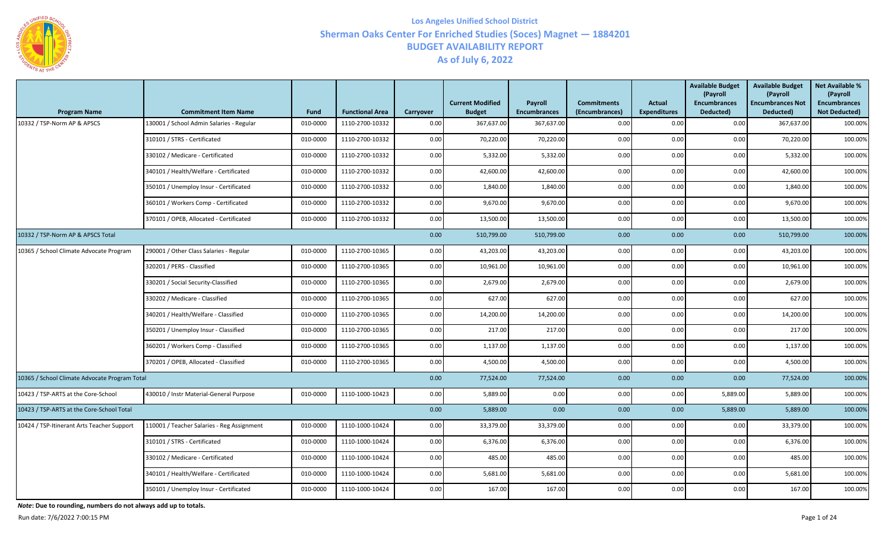

| <b>Program Name</b>                           | <b>Commitment Item Name</b>                | Fund     | <b>Functional Area</b> | Carryover | <b>Current Modified</b><br><b>Budget</b> | Payroll<br><b>Encumbrances</b> | <b>Commitments</b><br>(Encumbrances) | <b>Actual</b><br><b>Expenditures</b> | <b>Available Budget</b><br>(Payroll<br><b>Encumbrances</b><br>Deducted) | <b>Available Budget</b><br>(Payroll<br><b>Encumbrances Not</b><br>Deducted) | <b>Net Available %</b><br>(Payroll<br><b>Encumbrances</b><br><b>Not Deducted)</b> |
|-----------------------------------------------|--------------------------------------------|----------|------------------------|-----------|------------------------------------------|--------------------------------|--------------------------------------|--------------------------------------|-------------------------------------------------------------------------|-----------------------------------------------------------------------------|-----------------------------------------------------------------------------------|
| 10332 / TSP-Norm AP & APSCS                   | 130001 / School Admin Salaries - Regular   | 010-0000 | 1110-2700-10332        | 0.00      | 367,637.00                               | 367,637.00                     | 0.00                                 | 0.00                                 | 0.00                                                                    | 367,637.00                                                                  | 100.00%                                                                           |
|                                               | 310101 / STRS - Certificated               | 010-0000 | 1110-2700-10332        | 0.00      | 70,220.00                                | 70,220.00                      | 0.00                                 | 0.00                                 | 0.00                                                                    | 70,220.00                                                                   | 100.00%                                                                           |
|                                               | 330102 / Medicare - Certificated           | 010-0000 | 1110-2700-10332        | 0.00      | 5,332.00                                 | 5,332.00                       | 0.00                                 | 0.00                                 | 0.00                                                                    | 5,332.00                                                                    | 100.00%                                                                           |
|                                               | 340101 / Health/Welfare - Certificated     | 010-0000 | 1110-2700-10332        | 0.00      | 42,600.00                                | 42,600.00                      | 0.00                                 | 0.00                                 | 0.00                                                                    | 42,600.00                                                                   | 100.00%                                                                           |
|                                               | 350101 / Unemploy Insur - Certificated     | 010-0000 | 1110-2700-10332        | 0.00      | 1,840.00                                 | 1,840.00                       | 0.00                                 | 0.00                                 | 0.00                                                                    | 1,840.00                                                                    | 100.00%                                                                           |
|                                               | 360101 / Workers Comp - Certificated       | 010-0000 | 1110-2700-10332        | 0.00      | 9,670.00                                 | 9,670.00                       | 0.00                                 | 0.00                                 | 0.00                                                                    | 9,670.00                                                                    | 100.00%                                                                           |
|                                               | 370101 / OPEB, Allocated - Certificated    | 010-0000 | 1110-2700-10332        | 0.00      | 13,500.00                                | 13,500.00                      | 0.00                                 | 0.00                                 | 0.00                                                                    | 13,500.00                                                                   | 100.00%                                                                           |
| 10332 / TSP-Norm AP & APSCS Total             |                                            |          |                        | 0.00      | 510,799.00                               | 510,799.00                     | 0.00                                 | 0.00                                 | 0.00                                                                    | 510,799.00                                                                  | 100.00%                                                                           |
| 10365 / School Climate Advocate Program       | 290001 / Other Class Salaries - Regular    | 010-0000 | 1110-2700-10365        | 0.00      | 43,203.00                                | 43,203.00                      | 0.00                                 | 0.00                                 | 0.00                                                                    | 43,203.00                                                                   | 100.00%                                                                           |
|                                               | 320201 / PERS - Classified                 | 010-0000 | 1110-2700-10365        | 0.00      | 10,961.00                                | 10,961.00                      | 0.00                                 | 0.00                                 | 0.00                                                                    | 10,961.00                                                                   | 100.00%                                                                           |
|                                               | 330201 / Social Security-Classified        | 010-0000 | 1110-2700-10365        | 0.00      | 2,679.00                                 | 2,679.00                       | 0.00                                 | 0.00                                 | 0.00                                                                    | 2,679.00                                                                    | 100.00%                                                                           |
|                                               | 330202 / Medicare - Classified             | 010-0000 | 1110-2700-10365        | 0.00      | 627.00                                   | 627.00                         | 0.00                                 | 0.00                                 | 0.00                                                                    | 627.00                                                                      | 100.00%                                                                           |
|                                               | 340201 / Health/Welfare - Classified       | 010-0000 | 1110-2700-10365        | 0.00      | 14,200.00                                | 14,200.00                      | 0.00                                 | 0.00                                 | 0.00                                                                    | 14,200.00                                                                   | 100.00%                                                                           |
|                                               | 350201 / Unemploy Insur - Classified       | 010-0000 | 1110-2700-10365        | 0.00      | 217.00                                   | 217.00                         | $0.00\,$                             | 0.00                                 | 0.00                                                                    | 217.00                                                                      | 100.00%                                                                           |
|                                               | 360201 / Workers Comp - Classified         | 010-0000 | 1110-2700-10365        | 0.00      | 1,137.00                                 | 1,137.00                       | 0.00                                 | 0.00                                 | 0.00                                                                    | 1,137.00                                                                    | 100.00%                                                                           |
|                                               | 370201 / OPEB, Allocated - Classified      | 010-0000 | 1110-2700-10365        | 0.00      | 4,500.00                                 | 4,500.00                       | 0.00                                 | 0.00                                 | 0.00                                                                    | 4,500.00                                                                    | 100.00%                                                                           |
| 10365 / School Climate Advocate Program Total |                                            |          |                        | 0.00      | 77,524.00                                | 77,524.00                      | 0.00                                 | 0.00                                 | 0.00                                                                    | 77,524.00                                                                   | 100.00%                                                                           |
| 10423 / TSP-ARTS at the Core-School           | 430010 / Instr Material-General Purpose    | 010-0000 | 1110-1000-10423        | 0.00      | 5,889.00                                 | 0.00                           | $0.00\,$                             | 0.00                                 | 5,889.00                                                                | 5,889.00                                                                    | 100.00%                                                                           |
| 10423 / TSP-ARTS at the Core-School Total     |                                            |          |                        | 0.00      | 5,889.00                                 | 0.00                           | 0.00                                 | 0.00                                 | 5,889.00                                                                | 5,889.00                                                                    | 100.00%                                                                           |
| 10424 / TSP-Itinerant Arts Teacher Support    | 110001 / Teacher Salaries - Reg Assignment | 010-0000 | 1110-1000-10424        | 0.00      | 33,379.00                                | 33,379.00                      | 0.00                                 | 0.00                                 | 0.00                                                                    | 33,379.00                                                                   | 100.00%                                                                           |
|                                               | 310101 / STRS - Certificated               | 010-0000 | 1110-1000-10424        | 0.00      | 6,376.00                                 | 6,376.00                       | $0.00\,$                             | 0.00                                 | 0.00                                                                    | 6,376.00                                                                    | 100.00%                                                                           |
|                                               | 330102 / Medicare - Certificated           | 010-0000 | 1110-1000-10424        | 0.00      | 485.00                                   | 485.00                         | 0.00                                 | 0.00                                 | 0.00                                                                    | 485.00                                                                      | 100.00%                                                                           |
|                                               | 340101 / Health/Welfare - Certificated     | 010-0000 | 1110-1000-10424        | 0.00      | 5,681.00                                 | 5,681.00                       | 0.00                                 | 0.00                                 | 0.00                                                                    | 5,681.00                                                                    | 100.00%                                                                           |
|                                               | 350101 / Unemploy Insur - Certificated     | 010-0000 | 1110-1000-10424        | 0.00      | 167.00                                   | 167.00                         | 0.00                                 | 0.00                                 | 0.00                                                                    | 167.00                                                                      | 100.00%                                                                           |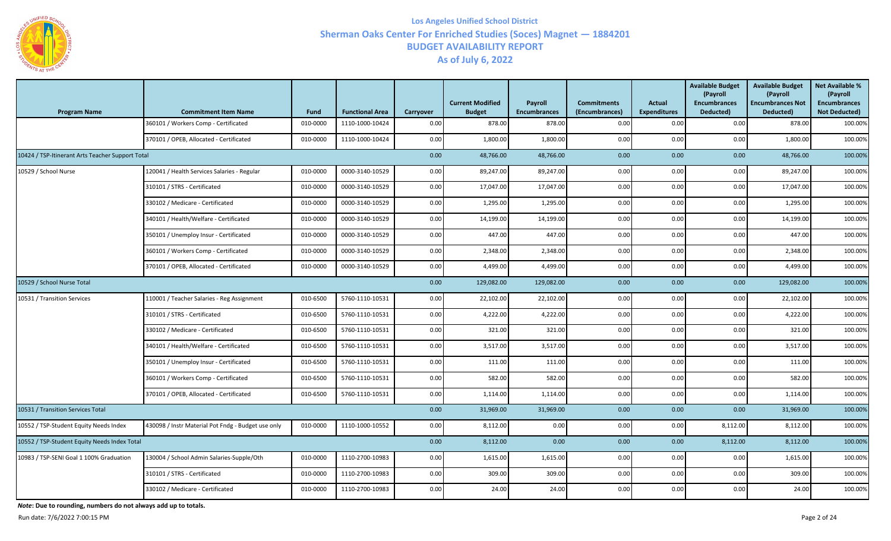

| <b>Program Name</b>                              | <b>Commitment Item Name</b>                        | <b>Fund</b> | <b>Functional Area</b> | Carryover | <b>Current Modified</b><br><b>Budget</b> | Payroll<br><b>Encumbrances</b> | <b>Commitments</b><br>(Encumbrances) | <b>Actual</b><br><b>Expenditures</b> | <b>Available Budget</b><br>(Payroll<br><b>Encumbrances</b><br>Deducted) | <b>Available Budget</b><br>(Payroll<br><b>Encumbrances Not</b><br>Deducted) | <b>Net Available %</b><br>(Payroll<br><b>Encumbrances</b><br><b>Not Deducted)</b> |
|--------------------------------------------------|----------------------------------------------------|-------------|------------------------|-----------|------------------------------------------|--------------------------------|--------------------------------------|--------------------------------------|-------------------------------------------------------------------------|-----------------------------------------------------------------------------|-----------------------------------------------------------------------------------|
|                                                  | 360101 / Workers Comp - Certificated               | 010-0000    | 1110-1000-10424        | 0.00      | 878.00                                   | 878.00                         | 0.00                                 | 0.00                                 | 0.00                                                                    | 878.00                                                                      | 100.00%                                                                           |
|                                                  | 370101 / OPEB, Allocated - Certificated            | 010-0000    | 1110-1000-10424        | 0.00      | 1,800.00                                 | 1,800.00                       | 0.00                                 | 0.00                                 | 0.00                                                                    | 1,800.00                                                                    | 100.00%                                                                           |
| 10424 / TSP-Itinerant Arts Teacher Support Total |                                                    |             |                        | 0.00      | 48,766.00                                | 48,766.00                      | 0.00                                 | 0.00                                 | 0.00                                                                    | 48,766.00                                                                   | 100.00%                                                                           |
| 10529 / School Nurse                             | 120041 / Health Services Salaries - Regular        | 010-0000    | 0000-3140-10529        | 0.00      | 89,247.00                                | 89,247.00                      | 0.00                                 | 0.00                                 | 0.00                                                                    | 89,247.00                                                                   | 100.00%                                                                           |
|                                                  | 310101 / STRS - Certificated                       | 010-0000    | 0000-3140-10529        | 0.00      | 17,047.00                                | 17,047.00                      | 0.00                                 | 0.00                                 | 0.00                                                                    | 17,047.00                                                                   | 100.00%                                                                           |
|                                                  | 330102 / Medicare - Certificated                   | 010-0000    | 0000-3140-10529        | 0.00      | 1,295.00                                 | 1,295.00                       | 0.00                                 | 0.00                                 | 0.00                                                                    | 1,295.00                                                                    | 100.00%                                                                           |
|                                                  | 340101 / Health/Welfare - Certificated             | 010-0000    | 0000-3140-10529        | 0.00      | 14,199.00                                | 14,199.00                      | 0.00                                 | 0.00                                 | 0.00                                                                    | 14,199.00                                                                   | 100.00%                                                                           |
|                                                  | 350101 / Unemploy Insur - Certificated             | 010-0000    | 0000-3140-10529        | 0.00      | 447.00                                   | 447.00                         | 0.00                                 | 0.00                                 | 0.00                                                                    | 447.00                                                                      | 100.00%                                                                           |
|                                                  | 360101 / Workers Comp - Certificated               | 010-0000    | 0000-3140-10529        | 0.00      | 2,348.00                                 | 2,348.00                       | 0.00                                 | 0.00                                 | 0.00                                                                    | 2,348.00                                                                    | 100.00%                                                                           |
|                                                  | 370101 / OPEB, Allocated - Certificated            | 010-0000    | 0000-3140-10529        | 0.00      | 4,499.00                                 | 4,499.00                       | 0.00                                 | 0.00                                 | 0.00                                                                    | 4,499.00                                                                    | 100.00%                                                                           |
| 10529 / School Nurse Total                       |                                                    |             |                        | 0.00      | 129,082.00                               | 129,082.00                     | 0.00                                 | 0.00                                 | 0.00                                                                    | 129,082.00                                                                  | 100.00%                                                                           |
| 10531 / Transition Services                      | 110001 / Teacher Salaries - Reg Assignment         | 010-6500    | 5760-1110-10531        | 0.00      | 22,102.00                                | 22,102.00                      | 0.00                                 | 0.00                                 | 0.00                                                                    | 22,102.00                                                                   | 100.00%                                                                           |
|                                                  | 310101 / STRS - Certificated                       | 010-6500    | 5760-1110-10531        | 0.00      | 4,222.00                                 | 4,222.00                       | 0.00                                 | 0.00                                 | 0.00                                                                    | 4,222.00                                                                    | 100.00%                                                                           |
|                                                  | 330102 / Medicare - Certificated                   | 010-6500    | 5760-1110-10531        | 0.00      | 321.00                                   | 321.00                         | 0.00                                 | 0.00                                 | 0.00                                                                    | 321.00                                                                      | 100.00%                                                                           |
|                                                  | 340101 / Health/Welfare - Certificated             | 010-6500    | 5760-1110-10531        | 0.00      | 3,517.00                                 | 3,517.00                       | 0.00                                 | 0.00                                 | 0.00                                                                    | 3,517.00                                                                    | 100.00%                                                                           |
|                                                  | 350101 / Unemploy Insur - Certificated             | 010-6500    | 5760-1110-10531        | 0.00      | 111.00                                   | 111.00                         | 0.00                                 | 0.00                                 | 0.00                                                                    | 111.00                                                                      | 100.00%                                                                           |
|                                                  | 360101 / Workers Comp - Certificated               | 010-6500    | 5760-1110-10531        | 0.00      | 582.00                                   | 582.00                         | 0.00                                 | 0.00                                 | 0.00                                                                    | 582.00                                                                      | 100.00%                                                                           |
|                                                  | 370101 / OPEB, Allocated - Certificated            | 010-6500    | 5760-1110-10531        | 0.00      | 1,114.00                                 | 1,114.00                       | 0.00                                 | 0.00                                 | 0.00                                                                    | 1,114.00                                                                    | 100.00%                                                                           |
| 10531 / Transition Services Total                |                                                    |             |                        | 0.00      | 31,969.00                                | 31,969.00                      | 0.00                                 | 0.00                                 | 0.00                                                                    | 31,969.00                                                                   | 100.00%                                                                           |
| 10552 / TSP-Student Equity Needs Index           | 430098 / Instr Material Pot Fndg - Budget use only | 010-0000    | 1110-1000-10552        | 0.00      | 8,112.00                                 | 0.00                           | 0.00                                 | 0.00                                 | 8,112.00                                                                | 8,112.00                                                                    | 100.00%                                                                           |
| 10552 / TSP-Student Equity Needs Index Total     |                                                    |             |                        | 0.00      | 8,112.00                                 | 0.00                           | 0.00                                 | 0.00                                 | 8,112.00                                                                | 8,112.00                                                                    | 100.00%                                                                           |
| 10983 / TSP-SENI Goal 1 100% Graduation          | 130004 / School Admin Salaries-Supple/Oth          | 010-0000    | 1110-2700-10983        | 0.00      | 1,615.00                                 | 1,615.00                       | 0.00                                 | 0.00                                 | 0.00                                                                    | 1,615.00                                                                    | 100.00%                                                                           |
|                                                  | 310101 / STRS - Certificated                       | 010-0000    | 1110-2700-10983        | 0.00      | 309.00                                   | 309.00                         | 0.00                                 | 0.00                                 | 0.00                                                                    | 309.00                                                                      | 100.00%                                                                           |
|                                                  | 330102 / Medicare - Certificated                   | 010-0000    | 1110-2700-10983        | 0.00      | 24.00                                    | 24.00                          | 0.00                                 | 0.00                                 | 0.00                                                                    | 24.00                                                                       | 100.00%                                                                           |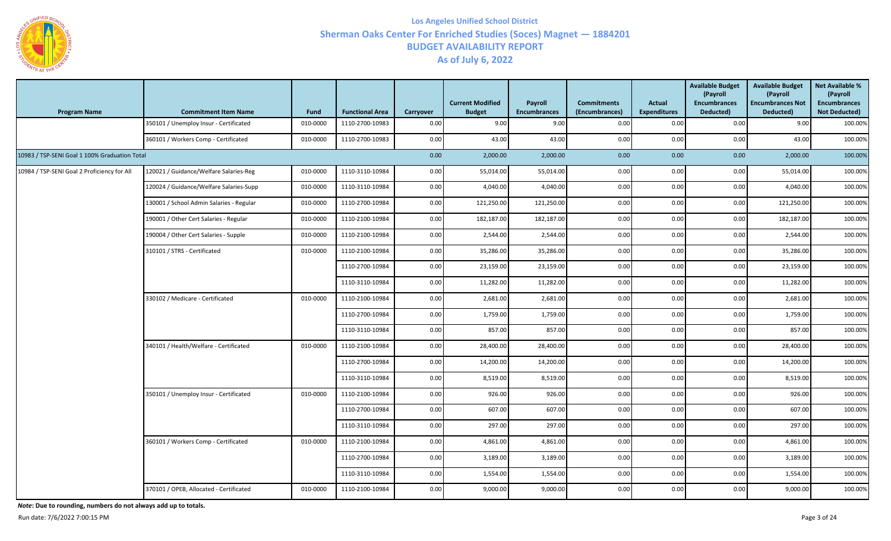

| <b>Program Name</b>                           | <b>Commitment Item Name</b>              | <b>Fund</b> | <b>Functional Area</b> | Carryover | <b>Current Modified</b><br><b>Budget</b> | Payroll<br><b>Encumbrances</b> | <b>Commitments</b><br>(Encumbrances) | Actual<br><b>Expenditures</b> | <b>Available Budget</b><br>(Payroll<br><b>Encumbrances</b><br>Deducted) | <b>Available Budget</b><br>(Payroll<br><b>Encumbrances Not</b><br>Deducted) | <b>Net Available %</b><br>(Payroll<br><b>Encumbrances</b><br><b>Not Deducted)</b> |
|-----------------------------------------------|------------------------------------------|-------------|------------------------|-----------|------------------------------------------|--------------------------------|--------------------------------------|-------------------------------|-------------------------------------------------------------------------|-----------------------------------------------------------------------------|-----------------------------------------------------------------------------------|
|                                               | 350101 / Unemploy Insur - Certificated   | 010-0000    | 1110-2700-10983        | 0.00      | 9.00                                     | 9.00                           | 0.00                                 | 0.00                          | 0.00                                                                    | 9.00                                                                        | 100.00%                                                                           |
|                                               | 360101 / Workers Comp - Certificated     | 010-0000    | 1110-2700-10983        | 0.00      | 43.00                                    | 43.00                          | 0.00                                 | 0.00                          | 0.00                                                                    | 43.00                                                                       | 100.00%                                                                           |
| 10983 / TSP-SENI Goal 1 100% Graduation Total |                                          |             |                        | 0.00      | 2,000.00                                 | 2,000.00                       | 0.00                                 | 0.00                          | 0.00                                                                    | 2,000.00                                                                    | 100.00%                                                                           |
| 10984 / TSP-SENI Goal 2 Proficiency for All   | 120021 / Guidance/Welfare Salaries-Reg   | 010-0000    | 1110-3110-10984        | 0.00      | 55,014.00                                | 55,014.00                      | 0.00                                 | 0.00                          | 0.00                                                                    | 55,014.00                                                                   | 100.00%                                                                           |
|                                               | 120024 / Guidance/Welfare Salaries-Supp  | 010-0000    | 1110-3110-10984        | 0.00      | 4,040.00                                 | 4,040.00                       | 0.00                                 | 0.00                          | 0.00                                                                    | 4,040.00                                                                    | 100.00%                                                                           |
|                                               | 130001 / School Admin Salaries - Regular | 010-0000    | 1110-2700-10984        | 0.00      | 121,250.00                               | 121,250.00                     | 0.00                                 | 0.00                          | 0.00                                                                    | 121,250.00                                                                  | 100.00%                                                                           |
|                                               | 190001 / Other Cert Salaries - Regular   | 010-0000    | 1110-2100-10984        | 0.00      | 182,187.00                               | 182,187.00                     | 0.00                                 | 0.00                          | 0.00                                                                    | 182,187.00                                                                  | 100.00%                                                                           |
|                                               | 190004 / Other Cert Salaries - Supple    | 010-0000    | 1110-2100-10984        | 0.00      | 2,544.00                                 | 2,544.00                       | 0.00                                 | 0.00                          | 0.00                                                                    | 2,544.00                                                                    | 100.00%                                                                           |
|                                               | 310101 / STRS - Certificated             | 010-0000    | 1110-2100-10984        | 0.00      | 35,286.00                                | 35,286.00                      | 0.00                                 | 0.00                          | 0.00                                                                    | 35,286.00                                                                   | 100.00%                                                                           |
|                                               |                                          |             | 1110-2700-10984        | 0.00      | 23,159.00                                | 23,159.00                      | 0.00                                 | 0.00                          | 0.00                                                                    | 23,159.00                                                                   | 100.00%                                                                           |
|                                               |                                          |             | 1110-3110-10984        | 0.00      | 11,282.00                                | 11,282.00                      | 0.00                                 | 0.00                          | 0.00                                                                    | 11,282.00                                                                   | 100.00%                                                                           |
|                                               | 330102 / Medicare - Certificated         | 010-0000    | 1110-2100-10984        | 0.00      | 2,681.00                                 | 2,681.00                       | 0.00                                 | 0.00                          | 0.00                                                                    | 2,681.00                                                                    | 100.00%                                                                           |
|                                               |                                          |             | 1110-2700-10984        | 0.00      | 1,759.00                                 | 1,759.00                       | 0.00                                 | 0.00                          | 0.00                                                                    | 1,759.00                                                                    | 100.00%                                                                           |
|                                               |                                          |             | 1110-3110-10984        | 0.00      | 857.00                                   | 857.00                         | 0.00                                 | 0.00                          | 0.00                                                                    | 857.00                                                                      | 100.00%                                                                           |
|                                               | 340101 / Health/Welfare - Certificated   | 010-0000    | 1110-2100-10984        | 0.00      | 28,400.00                                | 28,400.00                      | 0.00                                 | 0.00                          | 0.00                                                                    | 28,400.00                                                                   | 100.00%                                                                           |
|                                               |                                          |             | 1110-2700-10984        | 0.00      | 14,200.00                                | 14,200.00                      | 0.00                                 | 0.00                          | 0.00                                                                    | 14,200.00                                                                   | 100.00%                                                                           |
|                                               |                                          |             | 1110-3110-10984        | 0.00      | 8,519.00                                 | 8,519.00                       | 0.00                                 | 0.00                          | 0.00                                                                    | 8,519.00                                                                    | 100.00%                                                                           |
|                                               | 350101 / Unemploy Insur - Certificated   | 010-0000    | 1110-2100-10984        | 0.00      | 926.00                                   | 926.00                         | 0.00                                 | 0.00                          | 0.00                                                                    | 926.00                                                                      | 100.00%                                                                           |
|                                               |                                          |             | 1110-2700-10984        | 0.00      | 607.00                                   | 607.00                         | 0.00                                 | 0.00                          | 0.00                                                                    | 607.00                                                                      | 100.00%                                                                           |
|                                               |                                          |             | 1110-3110-10984        | 0.00      | 297.00                                   | 297.00                         | 0.00                                 | 0.00                          | 0.00                                                                    | 297.00                                                                      | 100.00%                                                                           |
|                                               | 360101 / Workers Comp - Certificated     | 010-0000    | 1110-2100-10984        | 0.00      | 4,861.00                                 | 4,861.00                       | 0.00                                 | 0.00                          | 0.00                                                                    | 4,861.00                                                                    | 100.00%                                                                           |
|                                               |                                          |             | 1110-2700-10984        | 0.00      | 3,189.00                                 | 3,189.00                       | 0.00                                 | 0.00                          | 0.00                                                                    | 3,189.00                                                                    | 100.00%                                                                           |
|                                               |                                          |             | 1110-3110-10984        | 0.00      | 1,554.00                                 | 1,554.00                       | 0.00                                 | 0.00                          | 0.00                                                                    | 1,554.00                                                                    | 100.00%                                                                           |
|                                               | 370101 / OPEB, Allocated - Certificated  | 010-0000    | 1110-2100-10984        | 0.00      | 9,000.00                                 | 9,000.00                       | 0.00                                 | 0.00                          | 0.00                                                                    | 9,000.00                                                                    | 100.00%                                                                           |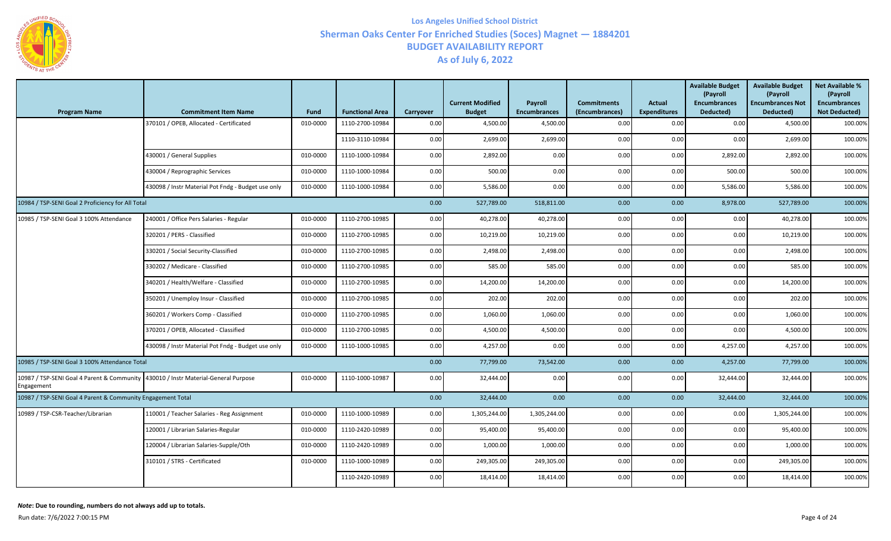

| <b>Program Name</b>                                                                              | <b>Commitment Item Name</b>                        | <b>Fund</b> | <b>Functional Area</b> | Carryover | <b>Current Modified</b><br><b>Budget</b> | Payroll<br><b>Encumbrances</b> | <b>Commitments</b><br>(Encumbrances) | <b>Actual</b><br><b>Expenditures</b> | <b>Available Budget</b><br>(Payroll<br><b>Encumbrances</b><br>Deducted) | <b>Available Budget</b><br>(Payroll<br><b>Encumbrances Not</b><br>Deducted) | <b>Net Available %</b><br>(Payroll<br><b>Encumbrances</b><br><b>Not Deducted)</b> |
|--------------------------------------------------------------------------------------------------|----------------------------------------------------|-------------|------------------------|-----------|------------------------------------------|--------------------------------|--------------------------------------|--------------------------------------|-------------------------------------------------------------------------|-----------------------------------------------------------------------------|-----------------------------------------------------------------------------------|
|                                                                                                  | 370101 / OPEB, Allocated - Certificated            | 010-0000    | 1110-2700-10984        | 0.00      | 4,500.00                                 | 4,500.00                       | 0.00                                 | 0.00                                 | 0.00                                                                    | 4,500.00                                                                    | 100.00%                                                                           |
|                                                                                                  |                                                    |             | 1110-3110-10984        | 0.00      | 2,699.00                                 | 2,699.00                       | 0.00                                 | 0.00                                 | 0.00                                                                    | 2,699.00                                                                    | 100.00%                                                                           |
|                                                                                                  | 430001 / General Supplies                          | 010-0000    | 1110-1000-10984        | 0.00      | 2,892.00                                 | 0.00                           | 0.00                                 | 0.00                                 | 2,892.00                                                                | 2,892.00                                                                    | 100.00%                                                                           |
|                                                                                                  | 430004 / Reprographic Services                     | 010-0000    | 1110-1000-10984        | 0.00      | 500.00                                   | 0.00                           | 0.00                                 | 0.00                                 | 500.00                                                                  | 500.00                                                                      | 100.00%                                                                           |
|                                                                                                  | 430098 / Instr Material Pot Fndg - Budget use only | 010-0000    | 1110-1000-10984        | 0.00      | 5,586.00                                 | 0.00                           | 0.00                                 | 0.00                                 | 5,586.00                                                                | 5,586.00                                                                    | 100.00%                                                                           |
| 10984 / TSP-SENI Goal 2 Proficiency for All Total                                                |                                                    |             |                        | 0.00      | 527,789.00                               | 518,811.00                     | 0.00                                 | 0.00                                 | 8,978.00                                                                | 527,789.00                                                                  | 100.00%                                                                           |
| 10985 / TSP-SENI Goal 3 100% Attendance                                                          | 240001 / Office Pers Salaries - Regular            | 010-0000    | 1110-2700-10985        | 0.00      | 40,278.00                                | 40,278.00                      | 0.00                                 | 0.00                                 | 0.00                                                                    | 40,278.00                                                                   | 100.00%                                                                           |
|                                                                                                  | 320201 / PERS - Classified                         | 010-0000    | 1110-2700-10985        | 0.00      | 10,219.00                                | 10,219.00                      | 0.00                                 | 0.00                                 | 0.00                                                                    | 10,219.00                                                                   | 100.00%                                                                           |
|                                                                                                  | 330201 / Social Security-Classified                | 010-0000    | 1110-2700-10985        | 0.00      | 2,498.00                                 | 2,498.00                       | 0.00                                 | 0.00                                 | 0.00                                                                    | 2,498.00                                                                    | 100.00%                                                                           |
|                                                                                                  | 330202 / Medicare - Classified                     | 010-0000    | 1110-2700-10985        | 0.00      | 585.00                                   | 585.00                         | 0.00                                 | 0.00                                 | 0.00                                                                    | 585.00                                                                      | 100.00%                                                                           |
|                                                                                                  | 340201 / Health/Welfare - Classified               | 010-0000    | 1110-2700-10985        | 0.00      | 14,200.00                                | 14,200.00                      | 0.00                                 | 0.00                                 | 0.00                                                                    | 14,200.00                                                                   | 100.00%                                                                           |
|                                                                                                  | 350201 / Unemploy Insur - Classified               | 010-0000    | 1110-2700-10985        | 0.00      | 202.00                                   | 202.00                         | 0.00                                 | 0.00                                 | 0.00                                                                    | 202.00                                                                      | 100.00%                                                                           |
|                                                                                                  | 360201 / Workers Comp - Classified                 | 010-0000    | 1110-2700-10985        | 0.00      | 1,060.00                                 | 1,060.00                       | 0.00                                 | 0.00                                 | 0.00                                                                    | 1,060.00                                                                    | 100.00%                                                                           |
|                                                                                                  | 370201 / OPEB, Allocated - Classified              | 010-0000    | 1110-2700-10985        | 0.00      | 4,500.00                                 | 4,500.00                       | 0.00                                 | 0.00                                 | 0.00                                                                    | 4,500.00                                                                    | 100.00%                                                                           |
|                                                                                                  | 430098 / Instr Material Pot Fndg - Budget use only | 010-0000    | 1110-1000-10985        | 0.00      | 4,257.00                                 | 0.00                           | 0.00                                 | 0.00                                 | 4,257.00                                                                | 4,257.00                                                                    | 100.00%                                                                           |
| 10985 / TSP-SENI Goal 3 100% Attendance Total                                                    |                                                    |             |                        | 0.00      | 77,799.00                                | 73,542.00                      | 0.00                                 | 0.00                                 | 4,257.00                                                                | 77,799.00                                                                   | 100.00%                                                                           |
| 10987 / TSP-SENI Goal 4 Parent & Community 430010 / Instr Material-General Purpose<br>Engagement |                                                    | 010-0000    | 1110-1000-10987        | 0.00      | 32,444.00                                | 0.00                           | 0.00                                 | 0.00                                 | 32,444.00                                                               | 32,444.00                                                                   | 100.00%                                                                           |
| 10987 / TSP-SENI Goal 4 Parent & Community Engagement Total                                      |                                                    |             |                        | 0.00      | 32,444.00                                | 0.00                           | 0.00                                 | 0.00                                 | 32,444.00                                                               | 32,444.00                                                                   | 100.00%                                                                           |
| 10989 / TSP-CSR-Teacher/Librarian                                                                | 110001 / Teacher Salaries - Reg Assignment         | 010-0000    | 1110-1000-10989        | 0.00      | 1,305,244.00                             | 1,305,244.00                   | 0.00                                 | 0.00                                 | 0.00                                                                    | 1,305,244.00                                                                | 100.00%                                                                           |
|                                                                                                  | 120001 / Librarian Salaries-Regular                | 010-0000    | 1110-2420-10989        | 0.00      | 95,400.00                                | 95,400.00                      | 0.00                                 | 0.00                                 | 0.00                                                                    | 95,400.00                                                                   | 100.00%                                                                           |
|                                                                                                  | 120004 / Librarian Salaries-Supple/Oth             | 010-0000    | 1110-2420-10989        | 0.00      | 1,000.00                                 | 1,000.00                       | 0.00                                 | 0.00                                 | 0.00                                                                    | 1,000.00                                                                    | 100.00%                                                                           |
|                                                                                                  | 310101 / STRS - Certificated                       | 010-0000    | 1110-1000-10989        | 0.00      | 249,305.00                               | 249,305.00                     | 0.00                                 | 0.00                                 | 0.00                                                                    | 249,305.00                                                                  | 100.00%                                                                           |
|                                                                                                  |                                                    |             | 1110-2420-10989        | 0.00      | 18,414.00                                | 18,414.00                      | 0.00                                 | 0.00                                 | 0.00                                                                    | 18,414.00                                                                   | 100.00%                                                                           |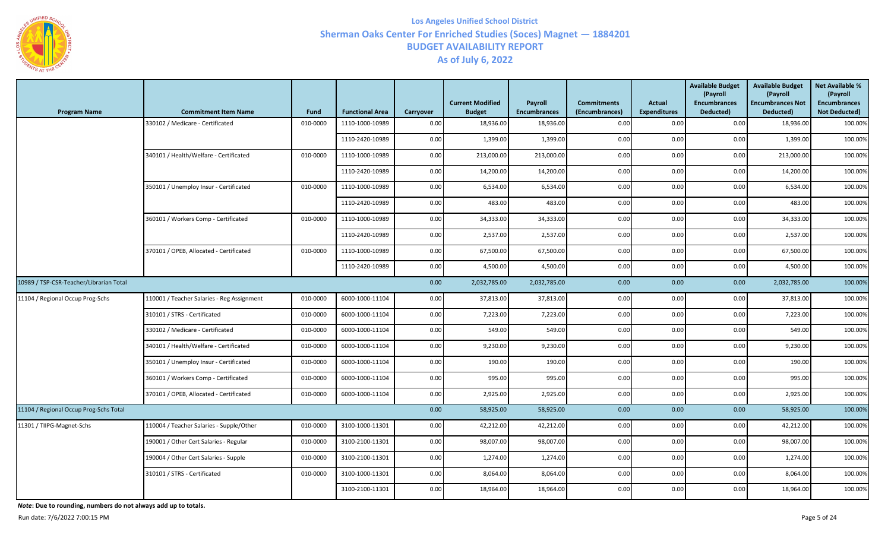

| <b>Program Name</b>                     | <b>Commitment Item Name</b>                | Fund     | <b>Functional Area</b> | Carryover | <b>Current Modified</b><br><b>Budget</b> | Payroll<br><b>Encumbrances</b> | <b>Commitments</b><br>(Encumbrances) | <b>Actual</b><br><b>Expenditures</b> | <b>Available Budget</b><br>(Payroll<br><b>Encumbrances</b><br>Deducted) | <b>Available Budget</b><br>(Payroll<br><b>Encumbrances Not</b><br>Deducted) | <b>Net Available %</b><br>(Payroll<br><b>Encumbrances</b><br><b>Not Deducted)</b> |
|-----------------------------------------|--------------------------------------------|----------|------------------------|-----------|------------------------------------------|--------------------------------|--------------------------------------|--------------------------------------|-------------------------------------------------------------------------|-----------------------------------------------------------------------------|-----------------------------------------------------------------------------------|
|                                         | 330102 / Medicare - Certificated           | 010-0000 | 1110-1000-10989        | 0.00      | 18,936.00                                | 18,936.00                      | 0.00                                 | 0.00                                 | 0.00                                                                    | 18,936.00                                                                   | 100.00%                                                                           |
|                                         |                                            |          | 1110-2420-10989        | 0.00      | 1,399.00                                 | 1,399.00                       | 0.00                                 | 0.00                                 | 0.00                                                                    | 1,399.00                                                                    | 100.00%                                                                           |
|                                         | 340101 / Health/Welfare - Certificated     | 010-0000 | 1110-1000-10989        | 0.00      | 213,000.00                               | 213,000.00                     | 0.00                                 | 0.00                                 | 0.00                                                                    | 213,000.00                                                                  | 100.00%                                                                           |
|                                         |                                            |          | 1110-2420-10989        | 0.00      | 14,200.00                                | 14,200.00                      | 0.00                                 | 0.00                                 | 0.00                                                                    | 14,200.00                                                                   | 100.00%                                                                           |
|                                         | 350101 / Unemploy Insur - Certificated     | 010-0000 | 1110-1000-10989        | 0.00      | 6,534.00                                 | 6,534.00                       | 0.00                                 | 0.00                                 | 0.00                                                                    | 6,534.00                                                                    | 100.00%                                                                           |
|                                         |                                            |          | 1110-2420-10989        | 0.00      | 483.00                                   | 483.00                         | 0.00                                 | 0.00                                 | 0.00                                                                    | 483.00                                                                      | 100.00%                                                                           |
|                                         | 360101 / Workers Comp - Certificated       | 010-0000 | 1110-1000-10989        | 0.00      | 34,333.00                                | 34,333.00                      | 0.00                                 | 0.00                                 | 0.00                                                                    | 34,333.00                                                                   | 100.00%                                                                           |
|                                         |                                            |          | 1110-2420-10989        | 0.00      | 2,537.00                                 | 2,537.00                       | 0.00                                 | 0.00                                 | 0.00                                                                    | 2,537.00                                                                    | 100.00%                                                                           |
|                                         | 370101 / OPEB, Allocated - Certificated    | 010-0000 | 1110-1000-10989        | 0.00      | 67,500.00                                | 67,500.00                      | 0.00                                 | 0.00                                 | 0.00                                                                    | 67,500.00                                                                   | 100.00%                                                                           |
|                                         |                                            |          | 1110-2420-10989        | 0.00      | 4,500.00                                 | 4,500.00                       | 0.00                                 | 0.00                                 | 0.00                                                                    | 4,500.00                                                                    | 100.00%                                                                           |
| 10989 / TSP-CSR-Teacher/Librarian Total |                                            |          |                        |           |                                          | 2,032,785.00<br>2,032,785.00   | 0.00                                 | 0.00                                 | 0.00                                                                    | 2,032,785.00                                                                | 100.00%                                                                           |
| 11104 / Regional Occup Prog-Schs        | 110001 / Teacher Salaries - Reg Assignment | 010-0000 | 6000-1000-11104        | 0.00      | 37,813.00                                | 37,813.00                      | 0.00                                 | 0.00                                 | 0.00                                                                    | 37,813.00                                                                   | 100.00%                                                                           |
|                                         | 310101 / STRS - Certificated               | 010-0000 | 6000-1000-11104        | 0.00      | 7,223.00                                 | 7,223.00                       | 0.00                                 | 0.00                                 | 0.00                                                                    | 7,223.00                                                                    | 100.00%                                                                           |
|                                         | 330102 / Medicare - Certificated           | 010-0000 | 6000-1000-11104        | 0.00      | 549.00                                   | 549.00                         | 0.00                                 | 0.00                                 | 0.00                                                                    | 549.00                                                                      | 100.00%                                                                           |
|                                         | 340101 / Health/Welfare - Certificated     | 010-0000 | 6000-1000-11104        | 0.00      | 9,230.00                                 | 9,230.00                       | 0.00                                 | 0.00                                 | 0.00                                                                    | 9,230.00                                                                    | 100.00%                                                                           |
|                                         | 350101 / Unemploy Insur - Certificated     | 010-0000 | 6000-1000-11104        | 0.00      | 190.00                                   | 190.00                         | 0.00                                 | 0.00                                 | 0.00                                                                    | 190.00                                                                      | 100.00%                                                                           |
|                                         | 360101 / Workers Comp - Certificated       | 010-0000 | 6000-1000-11104        | 0.00      | 995.00                                   | 995.00                         | 0.00                                 | 0.00                                 | 0.00                                                                    | 995.00                                                                      | 100.00%                                                                           |
|                                         | 370101 / OPEB, Allocated - Certificated    | 010-0000 | 6000-1000-11104        | 0.00      | 2,925.00                                 | 2,925.00                       | 0.00                                 | 0.00                                 | 0.00                                                                    | 2,925.00                                                                    | 100.00%                                                                           |
| 11104 / Regional Occup Prog-Schs Total  |                                            |          |                        | 0.00      | 58,925.00                                | 58,925.00                      | 0.00                                 | 0.00                                 | 0.00                                                                    | 58,925.00                                                                   | 100.00%                                                                           |
| 11301 / TIIPG-Magnet-Schs               | 110004 / Teacher Salaries - Supple/Other   | 010-0000 | 3100-1000-11301        | 0.00      | 42,212.00                                | 42,212.00                      | 0.00                                 | 0.00                                 | 0.00                                                                    | 42,212.00                                                                   | 100.00%                                                                           |
|                                         | 190001 / Other Cert Salaries - Regular     | 010-0000 | 3100-2100-11301        | 0.00      | 98,007.00                                | 98,007.00                      | 0.00                                 | 0.00                                 | 0.00                                                                    | 98,007.00                                                                   | 100.00%                                                                           |
|                                         | 190004 / Other Cert Salaries - Supple      | 010-0000 | 3100-2100-11301        | 0.00      | 1,274.00                                 | 1,274.00                       | 0.00                                 | 0.00                                 | 0.00                                                                    | 1,274.00                                                                    | 100.00%                                                                           |
|                                         | 310101 / STRS - Certificated               | 010-0000 | 3100-1000-11301        | 0.00      | 8,064.00                                 | 8,064.00                       | 0.00                                 | 0.00                                 | 0.00                                                                    | 8,064.00                                                                    | 100.00%                                                                           |
|                                         |                                            |          | 3100-2100-11301        | 0.00      | 18,964.00                                | 18,964.00                      | 0.00                                 | 0.00                                 | 0.00                                                                    | 18,964.00                                                                   | 100.00%                                                                           |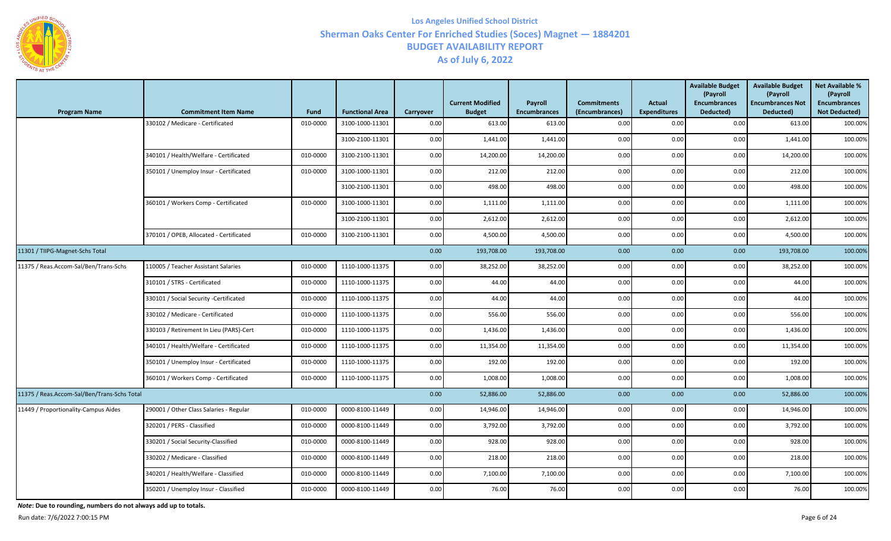

| <b>Program Name</b>                         | <b>Commitment Item Name</b>             | Fund     | <b>Functional Area</b> | Carryover | <b>Current Modified</b><br><b>Budget</b> | <b>Payroll</b><br><b>Encumbrances</b> | <b>Commitments</b><br>(Encumbrances) | <b>Actual</b><br><b>Expenditures</b> | <b>Available Budget</b><br>(Payroll<br><b>Encumbrances</b><br>Deducted) | <b>Available Budget</b><br>(Payroll<br><b>Encumbrances Not</b><br>Deducted) | <b>Net Available %</b><br>(Payroll<br><b>Encumbrances</b><br><b>Not Deducted)</b> |
|---------------------------------------------|-----------------------------------------|----------|------------------------|-----------|------------------------------------------|---------------------------------------|--------------------------------------|--------------------------------------|-------------------------------------------------------------------------|-----------------------------------------------------------------------------|-----------------------------------------------------------------------------------|
|                                             | 330102 / Medicare - Certificated        | 010-0000 | 3100-1000-11301        | 0.00      | 613.00                                   | 613.00                                | 0.00                                 | 0.00                                 | 0.00                                                                    | 613.00                                                                      | 100.00%                                                                           |
|                                             |                                         |          | 3100-2100-11301        | 0.00      | 1,441.00                                 | 1,441.00                              | 0.00                                 | 0.00                                 | 0.00                                                                    | 1,441.00                                                                    | 100.00%                                                                           |
|                                             | 340101 / Health/Welfare - Certificated  | 010-0000 | 3100-2100-11301        | 0.00      | 14,200.00                                | 14,200.00                             | 0.00                                 | 0.00                                 | 0.00                                                                    | 14,200.00                                                                   | 100.00%                                                                           |
|                                             | 350101 / Unemploy Insur - Certificated  | 010-0000 | 3100-1000-11301        | 0.00      | 212.00                                   | 212.00                                | 0.00                                 | 0.00                                 | 0.00                                                                    | 212.00                                                                      | 100.00%                                                                           |
|                                             |                                         |          | 3100-2100-11301        | 0.00      | 498.00                                   | 498.00                                | 0.00                                 | 0.00                                 | 0.00                                                                    | 498.00                                                                      | 100.00%                                                                           |
|                                             | 360101 / Workers Comp - Certificated    | 010-0000 | 3100-1000-11301        | 0.00      | 1,111.00                                 | 1,111.00                              | 0.00                                 | 0.00                                 | 0.00                                                                    | 1,111.00                                                                    | 100.00%                                                                           |
|                                             |                                         |          | 3100-2100-11301        | 0.00      | 2,612.00                                 | 2,612.00                              | 0.00                                 | 0.00                                 | 0.00                                                                    | 2,612.00                                                                    | 100.00%                                                                           |
|                                             | 370101 / OPEB, Allocated - Certificated | 010-0000 | 3100-2100-11301        | 0.00      | 4,500.00                                 | 4,500.00                              | 0.00                                 | 0.00                                 | 0.00                                                                    | 4,500.00                                                                    | 100.00%                                                                           |
| 11301 / TIIPG-Magnet-Schs Total             |                                         |          |                        | 0.00      | 193,708.00                               | 193,708.00                            | 0.00                                 | 0.00                                 | 0.00                                                                    | 193,708.00                                                                  | 100.00%                                                                           |
| 11375 / Reas.Accom-Sal/Ben/Trans-Schs       | 110005 / Teacher Assistant Salaries     | 010-0000 | 1110-1000-11375        | 0.00      | 38,252.00                                | 38,252.00                             | 0.00                                 | 0.00                                 | $0.00\,$                                                                | 38,252.00                                                                   | 100.00%                                                                           |
|                                             | 310101 / STRS - Certificated            | 010-0000 | 1110-1000-11375        | 0.00      | 44.00                                    | 44.00                                 | 0.00                                 | 0.00                                 | 0.00                                                                    | 44.00                                                                       | 100.00%                                                                           |
|                                             | 330101 / Social Security -Certificated  | 010-0000 | 1110-1000-11375        | 0.00      | 44.00                                    | 44.00                                 | 0.00                                 | 0.00                                 | 0.00                                                                    | 44.00                                                                       | 100.00%                                                                           |
|                                             | 330102 / Medicare - Certificated        | 010-0000 | 1110-1000-11375        | 0.00      | 556.00                                   | 556.00                                | 0.00                                 | 0.00                                 | 0.00                                                                    | 556.00                                                                      | 100.00%                                                                           |
|                                             | 330103 / Retirement In Lieu (PARS)-Cert | 010-0000 | 1110-1000-11375        | 0.00      | 1,436.00                                 | 1,436.00                              | 0.00                                 | 0.00                                 | 0.00                                                                    | 1,436.00                                                                    | 100.00%                                                                           |
|                                             | 340101 / Health/Welfare - Certificated  | 010-0000 | 1110-1000-11375        | 0.00      | 11,354.00                                | 11,354.00                             | 0.00                                 | 0.00                                 | 0.00                                                                    | 11,354.00                                                                   | 100.00%                                                                           |
|                                             | 350101 / Unemploy Insur - Certificated  | 010-0000 | 1110-1000-11375        | 0.00      | 192.00                                   | 192.00                                | 0.00                                 | 0.00                                 | 0.00                                                                    | 192.00                                                                      | 100.00%                                                                           |
|                                             | 360101 / Workers Comp - Certificated    | 010-0000 | 1110-1000-11375        | 0.00      | 1,008.00                                 | 1,008.00                              | 0.00                                 | 0.00                                 | 0.00                                                                    | 1,008.00                                                                    | 100.00%                                                                           |
| 11375 / Reas.Accom-Sal/Ben/Trans-Schs Total |                                         |          |                        | 0.00      | 52,886.00                                | 52,886.00                             | 0.00                                 | 0.00                                 | 0.00                                                                    | 52,886.00                                                                   | 100.00%                                                                           |
| 11449 / Proportionality-Campus Aides        | 290001 / Other Class Salaries - Regular | 010-0000 | 0000-8100-11449        | 0.00      | 14,946.00                                | 14,946.00                             | 0.00                                 | 0.00                                 | 0.00                                                                    | 14,946.00                                                                   | 100.00%                                                                           |
|                                             | 320201 / PERS - Classified              | 010-0000 | 0000-8100-11449        | 0.00      | 3,792.00                                 | 3,792.00                              | 0.00                                 | 0.00                                 | 0.00                                                                    | 3,792.00                                                                    | 100.00%                                                                           |
|                                             | 330201 / Social Security-Classified     | 010-0000 | 0000-8100-11449        | 0.00      | 928.00                                   | 928.00                                | 0.00                                 | 0.00                                 | 0.00                                                                    | 928.00                                                                      | 100.00%                                                                           |
|                                             | 330202 / Medicare - Classified          | 010-0000 | 0000-8100-11449        | 0.00      | 218.00                                   | 218.00                                | 0.00                                 | 0.00                                 | 0.00                                                                    | 218.00                                                                      | 100.00%                                                                           |
|                                             | 340201 / Health/Welfare - Classified    | 010-0000 | 0000-8100-11449        | 0.00      | 7,100.00                                 | 7,100.00                              | 0.00                                 | 0.00                                 | 0.00                                                                    | 7,100.00                                                                    | 100.00%                                                                           |
|                                             | 350201 / Unemploy Insur - Classified    | 010-0000 | 0000-8100-11449        | 0.00      | 76.00                                    | 76.00                                 | 0.00                                 | 0.00                                 | 0.00                                                                    | 76.00                                                                       | 100.00%                                                                           |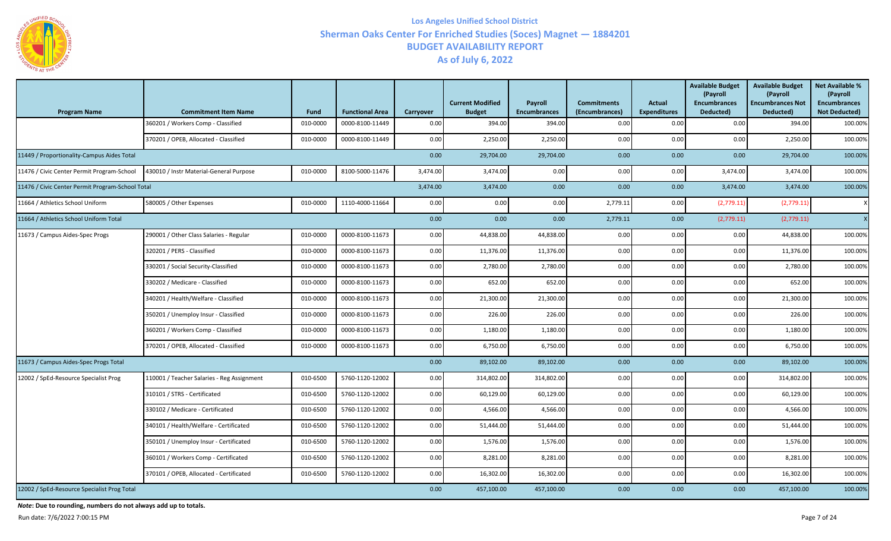

| <b>Program Name</b>                              | <b>Commitment Item Name</b>                | <b>Fund</b> | <b>Functional Area</b> | Carryover | <b>Current Modified</b><br><b>Budget</b> | <b>Payroll</b><br><b>Encumbrances</b> | <b>Commitments</b><br>(Encumbrances) | <b>Actual</b><br><b>Expenditures</b> | <b>Available Budget</b><br>(Payroll<br><b>Encumbrances</b><br>Deducted) | <b>Available Budget</b><br>(Payroll<br><b>Encumbrances Not</b><br>Deducted) | <b>Net Available %</b><br>(Payroll<br><b>Encumbrances</b><br><b>Not Deducted)</b> |
|--------------------------------------------------|--------------------------------------------|-------------|------------------------|-----------|------------------------------------------|---------------------------------------|--------------------------------------|--------------------------------------|-------------------------------------------------------------------------|-----------------------------------------------------------------------------|-----------------------------------------------------------------------------------|
|                                                  | 360201 / Workers Comp - Classified         | 010-0000    | 0000-8100-11449        | 0.00      | 394.00                                   | 394.00                                | 0.00                                 | 0.00                                 | 0.00                                                                    | 394.00                                                                      | 100.00%                                                                           |
|                                                  | 370201 / OPEB, Allocated - Classified      | 010-0000    | 0000-8100-11449        | 0.00      | 2,250.00                                 | 2,250.00                              | 0.00                                 | 0.00                                 | 0.00                                                                    | 2,250.00                                                                    | 100.00%                                                                           |
| 11449 / Proportionality-Campus Aides Total       |                                            |             |                        | 0.00      | 29,704.00                                | 29,704.00                             | 0.00                                 | 0.00                                 | 0.00                                                                    | 29,704.00                                                                   | 100.00%                                                                           |
| 11476 / Civic Center Permit Program-School       | 430010 / Instr Material-General Purpose    | 010-0000    | 8100-5000-11476        | 3,474.00  | 3,474.00                                 | 0.00                                  | 0.00                                 | 0.00                                 | 3,474.00                                                                | 3,474.00                                                                    | 100.00%                                                                           |
| 11476 / Civic Center Permit Program-School Total |                                            |             |                        | 3,474.00  | 3,474.00                                 | 0.00                                  | 0.00                                 | 0.00                                 | 3,474.00                                                                | 3,474.00                                                                    | 100.00%                                                                           |
| 11664 / Athletics School Uniform                 | 580005 / Other Expenses                    | 010-0000    | 1110-4000-11664        | 0.00      | 0.00                                     | 0.00                                  | 2,779.11                             | 0.00                                 | (2,779.11)                                                              | (2,779.11)                                                                  | $\boldsymbol{\mathsf{X}}$                                                         |
| 11664 / Athletics School Uniform Total           |                                            |             |                        | 0.00      | 0.00                                     | 0.00                                  | 2,779.11                             | 0.00                                 | (2,779.11)                                                              | (2,779.11)                                                                  | x <sub>l</sub>                                                                    |
| 11673 / Campus Aides-Spec Progs                  | 290001 / Other Class Salaries - Regular    | 010-0000    | 0000-8100-11673        | 0.00      | 44,838.00                                | 44,838.00                             | 0.00                                 | 0.00                                 | 0.00                                                                    | 44,838.00                                                                   | 100.00%                                                                           |
|                                                  | 320201 / PERS - Classified                 | 010-0000    | 0000-8100-11673        | 0.00      | 11,376.00                                | 11,376.00                             | 0.00                                 | 0.00                                 | 0.00                                                                    | 11,376.00                                                                   | 100.00%                                                                           |
|                                                  | 330201 / Social Security-Classified        | 010-0000    | 0000-8100-11673        | 0.00      | 2,780.00                                 | 2,780.00                              | 0.00                                 | 0.00                                 | 0.00                                                                    | 2,780.00                                                                    | 100.00%                                                                           |
|                                                  | 330202 / Medicare - Classified             | 010-0000    | 0000-8100-11673        | 0.00      | 652.00                                   | 652.00                                | 0.00                                 | 0.00                                 | 0.00                                                                    | 652.00                                                                      | 100.00%                                                                           |
|                                                  | 340201 / Health/Welfare - Classified       | 010-0000    | 0000-8100-11673        | 0.00      | 21,300.00                                | 21,300.00                             | 0.00                                 | 0.00                                 | 0.00                                                                    | 21,300.00                                                                   | 100.00%                                                                           |
|                                                  | 350201 / Unemploy Insur - Classified       | 010-0000    | 0000-8100-11673        | 0.00      | 226.00                                   | 226.00                                | 0.00                                 | 0.00                                 | 0.00                                                                    | 226.00                                                                      | 100.00%                                                                           |
|                                                  | 360201 / Workers Comp - Classified         | 010-0000    | 0000-8100-11673        | 0.00      | 1,180.00                                 | 1,180.00                              | 0.00                                 | 0.00                                 | 0.00                                                                    | 1,180.00                                                                    | 100.00%                                                                           |
|                                                  | 370201 / OPEB, Allocated - Classified      | 010-0000    | 0000-8100-11673        | 0.00      | 6,750.00                                 | 6,750.00                              | 0.00                                 | 0.00                                 | 0.00                                                                    | 6,750.00                                                                    | 100.00%                                                                           |
| 11673 / Campus Aides-Spec Progs Total            |                                            |             |                        | 0.00      | 89,102.00                                | 89,102.00                             | 0.00                                 | 0.00                                 | 0.00                                                                    | 89,102.00                                                                   | 100.00%                                                                           |
| 12002 / SpEd-Resource Specialist Prog            | 110001 / Teacher Salaries - Reg Assignment | 010-6500    | 5760-1120-12002        | 0.00      | 314,802.00                               | 314,802.00                            | 0.00                                 | 0.00                                 | 0.00                                                                    | 314,802.00                                                                  | 100.00%                                                                           |
|                                                  | 310101 / STRS - Certificated               | 010-6500    | 5760-1120-12002        | 0.00      | 60,129.00                                | 60,129.00                             | 0.00                                 | 0.00                                 | 0.00                                                                    | 60,129.00                                                                   | 100.00%                                                                           |
|                                                  | 330102 / Medicare - Certificated           | 010-6500    | 5760-1120-12002        | 0.00      | 4,566.00                                 | 4,566.00                              | 0.00                                 | 0.00                                 | 0.00                                                                    | 4,566.00                                                                    | 100.00%                                                                           |
|                                                  | 340101 / Health/Welfare - Certificated     | 010-6500    | 5760-1120-12002        | 0.00      | 51,444.00                                | 51,444.00                             | 0.00                                 | 0.00                                 | 0.00                                                                    | 51,444.00                                                                   | 100.00%                                                                           |
|                                                  | 350101 / Unemploy Insur - Certificated     | 010-6500    | 5760-1120-12002        | 0.00      | 1,576.00                                 | 1,576.00                              | 0.00                                 | 0.00                                 | 0.00                                                                    | 1,576.00                                                                    | 100.00%                                                                           |
|                                                  | 360101 / Workers Comp - Certificated       | 010-6500    | 5760-1120-12002        | 0.00      | 8,281.00                                 | 8,281.00                              | 0.00                                 | 0.00                                 | 0.00                                                                    | 8,281.00                                                                    | 100.00%                                                                           |
|                                                  | 370101 / OPEB, Allocated - Certificated    | 010-6500    | 5760-1120-12002        | 0.00      | 16,302.00                                | 16,302.00                             | 0.00                                 | 0.00                                 | 0.00                                                                    | 16,302.00                                                                   | 100.00%                                                                           |
| 12002 / SpEd-Resource Specialist Prog Total      |                                            |             |                        | 0.00      | 457,100.00                               | 457,100.00                            | 0.00                                 | 0.00                                 | 0.00                                                                    | 457,100.00                                                                  | 100.00%                                                                           |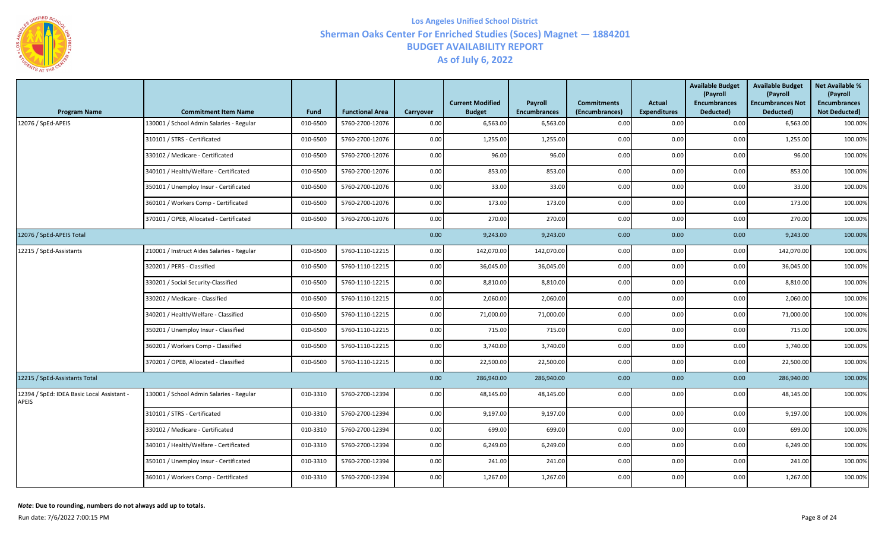

| <b>Program Name</b>                                        | <b>Commitment Item Name</b>                | <b>Fund</b> | <b>Functional Area</b> | Carryover | <b>Current Modified</b><br><b>Budget</b> | Payroll<br><b>Encumbrances</b> | <b>Commitments</b><br>(Encumbrances) | <b>Actual</b><br><b>Expenditures</b> | <b>Available Budget</b><br>(Payroll<br><b>Encumbrances</b><br>Deducted) | <b>Available Budget</b><br>(Payroll<br><b>Encumbrances Not</b><br>Deducted) | <b>Net Available %</b><br>(Payroll<br><b>Encumbrances</b><br><b>Not Deducted)</b> |
|------------------------------------------------------------|--------------------------------------------|-------------|------------------------|-----------|------------------------------------------|--------------------------------|--------------------------------------|--------------------------------------|-------------------------------------------------------------------------|-----------------------------------------------------------------------------|-----------------------------------------------------------------------------------|
| 12076 / SpEd-APEIS                                         | 130001 / School Admin Salaries - Regular   | 010-6500    | 5760-2700-12076        | 0.00      | 6,563.00                                 | 6,563.00                       | 0.00                                 | 0.00                                 | 0.00                                                                    | 6,563.00                                                                    | 100.00%                                                                           |
|                                                            | 310101 / STRS - Certificated               | 010-6500    | 5760-2700-12076        | 0.00      | 1,255.00                                 | 1,255.00                       | 0.00                                 | 0.00                                 | 0.00                                                                    | 1,255.00                                                                    | 100.00%                                                                           |
|                                                            | 330102 / Medicare - Certificated           | 010-6500    | 5760-2700-12076        | 0.00      | 96.00                                    | 96.00                          | 0.00                                 | 0.00                                 | 0.00                                                                    | 96.00                                                                       | 100.00%                                                                           |
|                                                            | 340101 / Health/Welfare - Certificated     | 010-6500    | 5760-2700-12076        | 0.00      | 853.00                                   | 853.00                         | 0.00                                 | 0.00                                 | 0.00                                                                    | 853.00                                                                      | 100.00%                                                                           |
|                                                            | 350101 / Unemploy Insur - Certificated     | 010-6500    | 5760-2700-12076        | 0.00      | 33.00                                    | 33.00                          | 0.00                                 | 0.00                                 | 0.00                                                                    | 33.00                                                                       | 100.00%                                                                           |
|                                                            | 360101 / Workers Comp - Certificated       | 010-6500    | 5760-2700-12076        | 0.00      | 173.00                                   | 173.00                         | 0.00                                 | 0.00                                 | 0.00                                                                    | 173.00                                                                      | 100.00%                                                                           |
|                                                            | 370101 / OPEB, Allocated - Certificated    | 010-6500    | 5760-2700-12076        | $0.00\,$  | 270.00                                   | 270.00                         | 0.00                                 | 0.00                                 | 0.00                                                                    | 270.00                                                                      | 100.00%                                                                           |
| 12076 / SpEd-APEIS Total                                   |                                            |             |                        | 0.00      | 9,243.00                                 | 9,243.00                       | 0.00                                 | 0.00                                 | 0.00                                                                    | 9,243.00                                                                    | 100.00%                                                                           |
| 12215 / SpEd-Assistants                                    | 210001 / Instruct Aides Salaries - Regular | 010-6500    | 5760-1110-12215        | $0.00\,$  | 142,070.00                               | 142,070.00                     | 0.00                                 | 0.00                                 | 0.00                                                                    | 142,070.00                                                                  | 100.00%                                                                           |
|                                                            | 320201 / PERS - Classified                 | 010-6500    | 5760-1110-12215        | 0.00      | 36,045.00                                | 36,045.00                      | 0.00                                 | 0.00                                 | 0.00                                                                    | 36,045.00                                                                   | 100.00%                                                                           |
|                                                            | 330201 / Social Security-Classified        | 010-6500    | 5760-1110-12215        | 0.00      | 8,810.00                                 | 8,810.00                       | 0.00                                 | 0.00                                 | 0.00                                                                    | 8,810.00                                                                    | 100.00%                                                                           |
|                                                            | 330202 / Medicare - Classified             | 010-6500    | 5760-1110-12215        | 0.00      | 2,060.00                                 | 2,060.00                       | 0.00                                 | 0.00                                 | 0.00                                                                    | 2,060.00                                                                    | 100.00%                                                                           |
|                                                            | 340201 / Health/Welfare - Classified       | 010-6500    | 5760-1110-12215        | 0.00      | 71,000.00                                | 71,000.00                      | 0.00                                 | 0.00                                 | 0.00                                                                    | 71,000.00                                                                   | 100.00%                                                                           |
|                                                            | 350201 / Unemploy Insur - Classified       | 010-6500    | 5760-1110-12215        | 0.00      | 715.00                                   | 715.00                         | 0.00                                 | 0.00                                 | 0.00                                                                    | 715.00                                                                      | 100.00%                                                                           |
|                                                            | 360201 / Workers Comp - Classified         | 010-6500    | 5760-1110-12215        | 0.00      | 3,740.00                                 | 3,740.00                       | 0.00                                 | 0.00                                 | 0.00                                                                    | 3,740.00                                                                    | 100.00%                                                                           |
|                                                            | 370201 / OPEB, Allocated - Classified      | 010-6500    | 5760-1110-12215        | 0.00      | 22,500.00                                | 22,500.00                      | 0.00                                 | 0.00                                 | 0.00                                                                    | 22,500.00                                                                   | 100.00%                                                                           |
| 12215 / SpEd-Assistants Total                              |                                            |             |                        | 0.00      | 286,940.00                               | 286,940.00                     | 0.00                                 | 0.00                                 | 0.00                                                                    | 286,940.00                                                                  | 100.00%                                                                           |
| 12394 / SpEd: IDEA Basic Local Assistant -<br><b>APEIS</b> | 130001 / School Admin Salaries - Regular   | 010-3310    | 5760-2700-12394        | 0.00      | 48,145.00                                | 48,145.00                      | 0.00                                 | 0.00                                 | 0.00                                                                    | 48,145.00                                                                   | 100.00%                                                                           |
|                                                            | 310101 / STRS - Certificated               | 010-3310    | 5760-2700-12394        | 0.00      | 9,197.00                                 | 9,197.00                       | 0.00                                 | 0.00                                 | 0.00                                                                    | 9,197.00                                                                    | 100.00%                                                                           |
|                                                            | 330102 / Medicare - Certificated           | 010-3310    | 5760-2700-12394        | $0.00\,$  | 699.00                                   | 699.00                         | 0.00                                 | 0.00                                 | 0.00                                                                    | 699.00                                                                      | 100.00%                                                                           |
|                                                            | 340101 / Health/Welfare - Certificated     | 010-3310    | 5760-2700-12394        | 0.00      | 6,249.00                                 | 6,249.00                       | 0.00                                 | 0.00                                 | 0.00                                                                    | 6,249.00                                                                    | 100.00%                                                                           |
|                                                            | 350101 / Unemploy Insur - Certificated     | 010-3310    | 5760-2700-12394        | 0.00      | 241.00                                   | 241.00                         | 0.00                                 | 0.00                                 | 0.00                                                                    | 241.00                                                                      | 100.00%                                                                           |
|                                                            | 360101 / Workers Comp - Certificated       | 010-3310    | 5760-2700-12394        | 0.00      | 1,267.00                                 | 1,267.00                       | 0.00                                 | 0.00                                 | 0.00                                                                    | 1,267.00                                                                    | 100.00%                                                                           |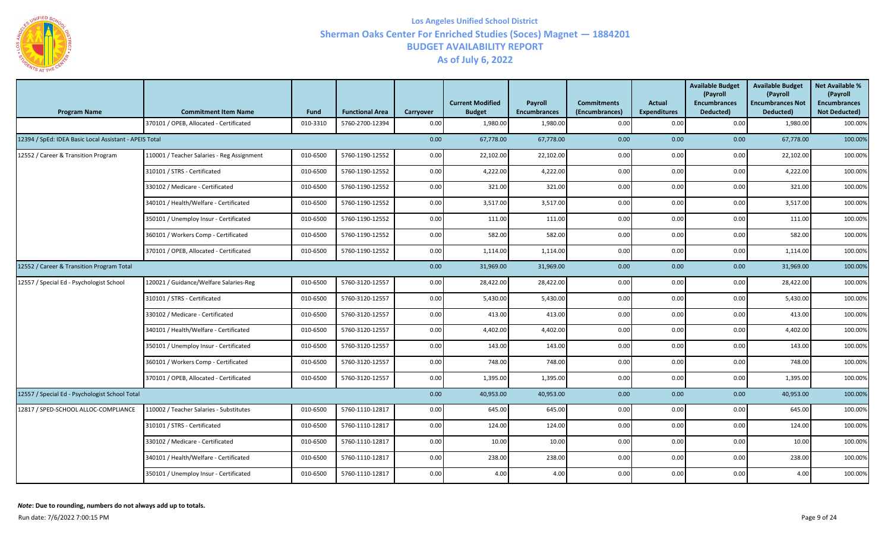

| <b>Program Name</b>                                    | <b>Commitment Item Name</b>                | Fund     | <b>Functional Area</b> | <b>Carryover</b> | <b>Current Modified</b><br><b>Budget</b> | Payroll<br><b>Encumbrances</b> | <b>Commitments</b><br>(Encumbrances) | Actual<br><b>Expenditures</b> | <b>Available Budget</b><br>(Payroll<br><b>Encumbrances</b><br>Deducted) | <b>Available Budget</b><br>(Payroll<br><b>Encumbrances Not</b><br>Deducted) | <b>Net Available %</b><br>(Payroll<br><b>Encumbrances</b><br><b>Not Deducted)</b> |
|--------------------------------------------------------|--------------------------------------------|----------|------------------------|------------------|------------------------------------------|--------------------------------|--------------------------------------|-------------------------------|-------------------------------------------------------------------------|-----------------------------------------------------------------------------|-----------------------------------------------------------------------------------|
|                                                        | 370101 / OPEB, Allocated - Certificated    | 010-3310 | 5760-2700-12394        | 0.00             | 1,980.00                                 | 1,980.00                       | 0.00                                 | 0.00                          | 0.00                                                                    | 1,980.00                                                                    | 100.00%                                                                           |
| 12394 / SpEd: IDEA Basic Local Assistant - APEIS Total |                                            |          |                        | 0.00             | 67,778.00                                | 67,778.00                      | 0.00                                 | 0.00                          | 0.00                                                                    | 67,778.00                                                                   | 100.00%                                                                           |
| 12552 / Career & Transition Program                    | 110001 / Teacher Salaries - Reg Assignment | 010-6500 | 5760-1190-12552        | 0.00             | 22,102.00                                | 22,102.00                      | 0.00                                 | 0.00                          | 0.00                                                                    | 22,102.00                                                                   | 100.00%                                                                           |
|                                                        | 310101 / STRS - Certificated               | 010-6500 | 5760-1190-12552        | 0.00             | 4,222.00                                 | 4,222.00                       | 0.00                                 | 0.00                          | 0.00                                                                    | 4,222.00                                                                    | 100.00%                                                                           |
|                                                        | 330102 / Medicare - Certificated           | 010-6500 | 5760-1190-12552        | 0.00             | 321.00                                   | 321.00                         | 0.00                                 | 0.00                          | 0.00                                                                    | 321.00                                                                      | 100.00%                                                                           |
|                                                        | 340101 / Health/Welfare - Certificated     | 010-6500 | 5760-1190-12552        | 0.00             | 3,517.00                                 | 3,517.00                       | 0.00                                 | 0.00                          | 0.00                                                                    | 3,517.00                                                                    | 100.00%                                                                           |
|                                                        | 350101 / Unemploy Insur - Certificated     | 010-6500 | 5760-1190-12552        | 0.00             | 111.00                                   | 111.00                         | 0.00                                 | 0.00                          | 0.00                                                                    | 111.00                                                                      | 100.00%                                                                           |
|                                                        | 360101 / Workers Comp - Certificated       | 010-6500 | 5760-1190-12552        | 0.00             | 582.00                                   | 582.00                         | 0.00                                 | 0.00                          | 0.00                                                                    | 582.00                                                                      | 100.00%                                                                           |
|                                                        | 370101 / OPEB, Allocated - Certificated    | 010-6500 | 5760-1190-12552        | 0.00             | 1,114.00                                 | 1,114.00                       | 0.00                                 | 0.00                          | 0.00                                                                    | 1,114.00                                                                    | 100.00%                                                                           |
| 12552 / Career & Transition Program Total              |                                            |          |                        | 0.00             | 31,969.00                                | 31,969.00                      | 0.00                                 | 0.00                          | 0.00                                                                    | 31,969.00                                                                   | 100.00%                                                                           |
| 12557 / Special Ed - Psychologist School               | 120021 / Guidance/Welfare Salaries-Reg     | 010-6500 | 5760-3120-12557        | 0.00             | 28,422.00                                | 28,422.00                      | 0.00                                 | 0.00                          | 0.00                                                                    | 28,422.00                                                                   | 100.00%                                                                           |
|                                                        | 310101 / STRS - Certificated               | 010-6500 | 5760-3120-12557        | 0.00             | 5,430.00                                 | 5,430.00                       | 0.00                                 | 0.00                          | 0.00                                                                    | 5,430.00                                                                    | 100.00%                                                                           |
|                                                        | 330102 / Medicare - Certificated           | 010-6500 | 5760-3120-12557        | 0.00             | 413.00                                   | 413.00                         | 0.00                                 | 0.00                          | 0.00                                                                    | 413.00                                                                      | 100.00%                                                                           |
|                                                        | 340101 / Health/Welfare - Certificated     | 010-6500 | 5760-3120-12557        | 0.00             | 4,402.00                                 | 4,402.00                       | 0.00                                 | 0.00                          | 0.00                                                                    | 4,402.00                                                                    | 100.00%                                                                           |
|                                                        | 350101 / Unemploy Insur - Certificated     | 010-6500 | 5760-3120-12557        | 0.00             | 143.00                                   | 143.00                         | 0.00                                 | 0.00                          | 0.00                                                                    | 143.00                                                                      | 100.00%                                                                           |
|                                                        | 360101 / Workers Comp - Certificated       | 010-6500 | 5760-3120-12557        | 0.00             | 748.00                                   | 748.00                         | 0.00                                 | 0.00                          | 0.00                                                                    | 748.00                                                                      | 100.00%                                                                           |
|                                                        | 370101 / OPEB, Allocated - Certificated    | 010-6500 | 5760-3120-12557        | 0.00             | 1,395.00                                 | 1,395.00                       | 0.00                                 | 0.00                          | 0.00                                                                    | 1,395.00                                                                    | 100.00%                                                                           |
| 12557 / Special Ed - Psychologist School Total         |                                            |          |                        | 0.00             | 40,953.00                                | 40,953.00                      | 0.00                                 | 0.00                          | 0.00                                                                    | 40,953.00                                                                   | 100.00%                                                                           |
| 12817 / SPED-SCHOOL ALLOC-COMPLIANCE                   | 110002 / Teacher Salaries - Substitutes    | 010-6500 | 5760-1110-12817        | 0.00             | 645.00                                   | 645.00                         | 0.00                                 | 0.00                          | 0.00                                                                    | 645.00                                                                      | 100.00%                                                                           |
|                                                        | 310101 / STRS - Certificated               | 010-6500 | 5760-1110-12817        | 0.00             | 124.00                                   | 124.00                         | 0.00                                 | 0.00                          | 0.00                                                                    | 124.00                                                                      | 100.00%                                                                           |
|                                                        | 330102 / Medicare - Certificated           | 010-6500 | 5760-1110-12817        | 0.00             | 10.00                                    | 10.00                          | 0.00                                 | 0.00                          | 0.00                                                                    | 10.00                                                                       | 100.00%                                                                           |
|                                                        | 340101 / Health/Welfare - Certificated     | 010-6500 | 5760-1110-12817        | 0.00             | 238.00                                   | 238.00                         | 0.00                                 | 0.00                          | 0.00                                                                    | 238.00                                                                      | 100.00%                                                                           |
|                                                        | 350101 / Unemploy Insur - Certificated     | 010-6500 | 5760-1110-12817        | 0.00             | 4.00                                     | 4.00                           | 0.00                                 | 0.00                          | 0.00                                                                    | 4.00                                                                        | 100.00%                                                                           |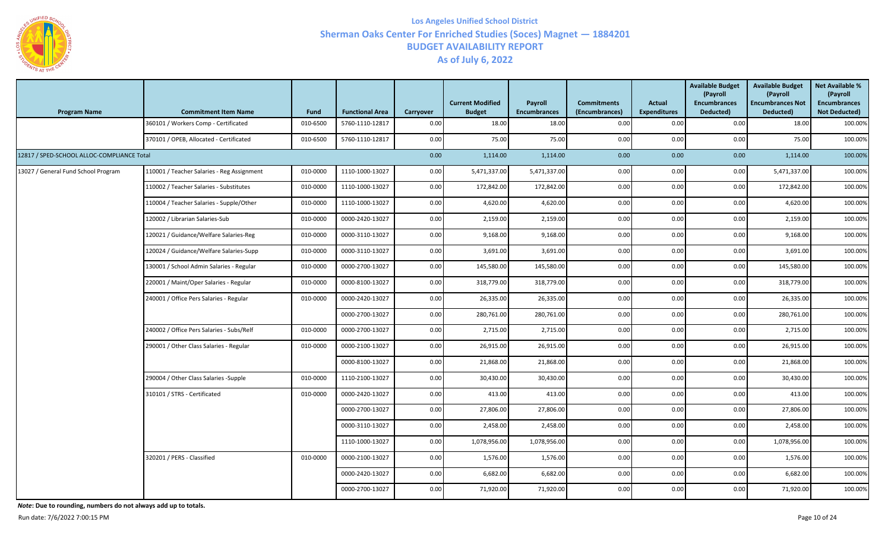

| <b>Program Name</b>                        | <b>Commitment Item Name</b>                | Fund     | <b>Functional Area</b> | Carryover | <b>Current Modified</b><br><b>Budget</b> | Payroll<br><b>Encumbrances</b> | <b>Commitments</b><br>(Encumbrances) | Actual<br><b>Expenditures</b> | <b>Available Budget</b><br>(Payroll<br><b>Encumbrances</b><br>Deducted) | <b>Available Budget</b><br>(Payroll<br><b>Encumbrances Not</b><br>Deducted) | <b>Net Available %</b><br>(Payroll<br><b>Encumbrances</b><br><b>Not Deducted)</b> |
|--------------------------------------------|--------------------------------------------|----------|------------------------|-----------|------------------------------------------|--------------------------------|--------------------------------------|-------------------------------|-------------------------------------------------------------------------|-----------------------------------------------------------------------------|-----------------------------------------------------------------------------------|
|                                            | 360101 / Workers Comp - Certificated       | 010-6500 | 5760-1110-12817        | 0.00      | 18.00                                    | 18.00                          | 0.00                                 | 0.00                          | 0.00                                                                    | 18.00                                                                       | 100.00%                                                                           |
|                                            | 370101 / OPEB, Allocated - Certificated    | 010-6500 | 5760-1110-12817        | 0.00      | 75.00                                    | 75.00                          | 0.00                                 | 0.00                          | 0.00                                                                    | 75.00                                                                       | 100.00%                                                                           |
| 12817 / SPED-SCHOOL ALLOC-COMPLIANCE Total |                                            |          |                        | 0.00      | 1,114.00                                 | 1,114.00                       | 0.00                                 | 0.00                          | 0.00                                                                    | 1,114.00                                                                    | 100.00%                                                                           |
| 13027 / General Fund School Program        | 110001 / Teacher Salaries - Reg Assignment | 010-0000 | 1110-1000-13027        | 0.00      | 5,471,337.00                             | 5,471,337.00                   | 0.00                                 | 0.00                          | 0.00                                                                    | 5,471,337.00                                                                | 100.00%                                                                           |
|                                            | 110002 / Teacher Salaries - Substitutes    | 010-0000 | 1110-1000-13027        | 0.00      | 172,842.00                               | 172,842.00                     | 0.00                                 | 0.00                          | 0.00                                                                    | 172,842.00                                                                  | 100.00%                                                                           |
|                                            | 110004 / Teacher Salaries - Supple/Other   | 010-0000 | 1110-1000-13027        | 0.00      | 4,620.00                                 | 4,620.00                       | 0.00                                 | 0.00                          | 0.00                                                                    | 4,620.00                                                                    | 100.00%                                                                           |
|                                            | 120002 / Librarian Salaries-Sub            | 010-0000 | 0000-2420-13027        | 0.00      | 2,159.00                                 | 2,159.00                       | 0.00                                 | 0.00                          | 0.00                                                                    | 2,159.00                                                                    | 100.00%                                                                           |
|                                            | 120021 / Guidance/Welfare Salaries-Reg     | 010-0000 | 0000-3110-13027        | 0.00      | 9,168.00                                 | 9,168.00                       | 0.00                                 | 0.00                          | 0.00                                                                    | 9,168.00                                                                    | 100.00%                                                                           |
|                                            | 120024 / Guidance/Welfare Salaries-Supp    | 010-0000 | 0000-3110-13027        | 0.00      | 3,691.00                                 | 3,691.00                       | 0.00                                 | 0.00                          | 0.00                                                                    | 3,691.00                                                                    | 100.00%                                                                           |
|                                            | 130001 / School Admin Salaries - Regular   | 010-0000 | 0000-2700-13027        | 0.00      | 145,580.00                               | 145,580.00                     | 0.00                                 | 0.00                          | 0.00                                                                    | 145,580.00                                                                  | 100.00%                                                                           |
|                                            | 220001 / Maint/Oper Salaries - Regular     | 010-0000 | 0000-8100-13027        | 0.00      | 318,779.00                               | 318,779.00                     | 0.00                                 | 0.00                          | 0.00                                                                    | 318,779.00                                                                  | 100.00%                                                                           |
|                                            | 240001 / Office Pers Salaries - Regular    | 010-0000 | 0000-2420-13027        | 0.00      | 26,335.00                                | 26,335.00                      | 0.00                                 | 0.00                          | 0.00                                                                    | 26,335.00                                                                   | 100.00%                                                                           |
|                                            |                                            |          | 0000-2700-13027        | 0.00      | 280,761.00                               | 280,761.00                     | 0.00                                 | 0.00                          | 0.00                                                                    | 280,761.00                                                                  | 100.00%                                                                           |
|                                            | 240002 / Office Pers Salaries - Subs/Relf  | 010-0000 | 0000-2700-13027        | 0.00      | 2,715.00                                 | 2,715.00                       | 0.00                                 | 0.00                          | 0.00                                                                    | 2,715.00                                                                    | 100.00%                                                                           |
|                                            | 290001 / Other Class Salaries - Regular    | 010-0000 | 0000-2100-13027        | 0.00      | 26,915.00                                | 26,915.00                      | 0.00                                 | 0.00                          | 0.00                                                                    | 26,915.00                                                                   | 100.00%                                                                           |
|                                            |                                            |          | 0000-8100-13027        | 0.00      | 21,868.00                                | 21,868.00                      | 0.00                                 | 0.00                          | 0.00                                                                    | 21,868.00                                                                   | 100.00%                                                                           |
|                                            | 290004 / Other Class Salaries -Supple      | 010-0000 | 1110-2100-13027        | 0.00      | 30,430.00                                | 30,430.00                      | 0.00                                 | 0.00                          | 0.00                                                                    | 30,430.00                                                                   | 100.00%                                                                           |
|                                            | 310101 / STRS - Certificated               | 010-0000 | 0000-2420-13027        | 0.00      | 413.00                                   | 413.00                         | 0.00                                 | 0.00                          | 0.00                                                                    | 413.00                                                                      | 100.00%                                                                           |
|                                            |                                            |          | 0000-2700-13027        | 0.00      | 27,806.00                                | 27,806.00                      | 0.00                                 | 0.00                          | 0.00                                                                    | 27,806.00                                                                   | 100.00%                                                                           |
|                                            |                                            |          | 0000-3110-13027        | 0.00      | 2,458.00                                 | 2,458.00                       | 0.00                                 | 0.00                          | 0.00                                                                    | 2,458.00                                                                    | 100.00%                                                                           |
|                                            |                                            |          | 1110-1000-13027        | 0.00      | 1,078,956.00                             | 1,078,956.00                   | 0.00                                 | 0.00                          | 0.00                                                                    | 1,078,956.00                                                                | 100.00%                                                                           |
|                                            | 320201 / PERS - Classified                 | 010-0000 | 0000-2100-13027        | 0.00      | 1,576.00                                 | 1,576.00                       | 0.00                                 | 0.00                          | 0.00                                                                    | 1,576.00                                                                    | 100.00%                                                                           |
|                                            |                                            |          | 0000-2420-13027        | 0.00      | 6,682.00                                 | 6,682.00                       | 0.00                                 | 0.00                          | 0.00                                                                    | 6,682.00                                                                    | 100.00%                                                                           |
|                                            |                                            |          | 0000-2700-13027        | 0.00      | 71,920.00                                | 71,920.00                      | 0.00                                 | 0.00                          | 0.00                                                                    | 71,920.00                                                                   | 100.00%                                                                           |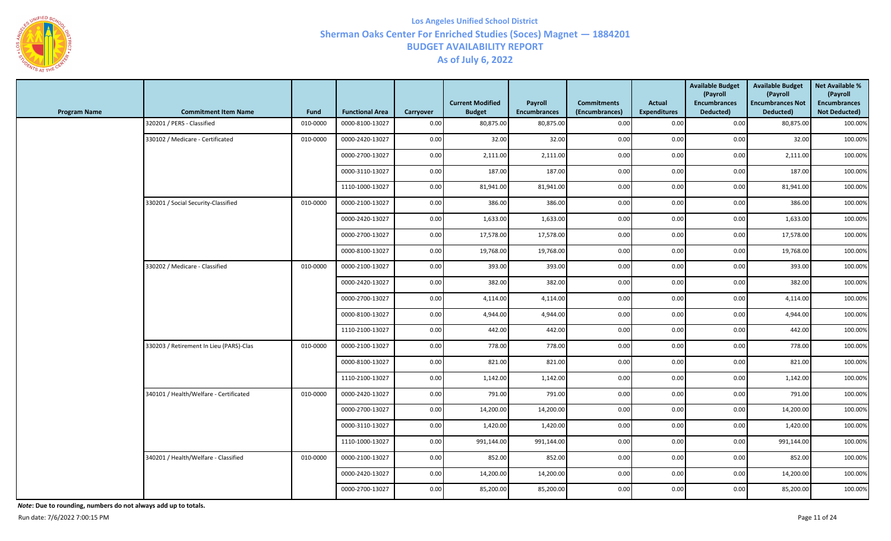

| <b>Program Name</b> | <b>Commitment Item Name</b>             | Fund     | <b>Functional Area</b> | Carryover | <b>Current Modified</b><br><b>Budget</b> | Payroll<br><b>Encumbrances</b> | <b>Commitments</b><br>(Encumbrances) | <b>Actual</b><br><b>Expenditures</b> | <b>Available Budget</b><br>(Payroll<br><b>Encumbrances</b><br>Deducted) | <b>Available Budget</b><br>(Payroll<br><b>Encumbrances Not</b><br>Deducted) | <b>Net Available %</b><br>(Payroll<br><b>Encumbrances</b><br><b>Not Deducted)</b> |
|---------------------|-----------------------------------------|----------|------------------------|-----------|------------------------------------------|--------------------------------|--------------------------------------|--------------------------------------|-------------------------------------------------------------------------|-----------------------------------------------------------------------------|-----------------------------------------------------------------------------------|
|                     | 320201 / PERS - Classified              | 010-0000 | 0000-8100-13027        | 0.00      | 80,875.00                                | 80,875.00                      | 0.00                                 | 0.00                                 | 0.00                                                                    | 80,875.00                                                                   | 100.00%                                                                           |
|                     | 330102 / Medicare - Certificated        | 010-0000 | 0000-2420-13027        | 0.00      | 32.00                                    | 32.00                          | 0.00                                 | 0.00                                 | 0.00                                                                    | 32.00                                                                       | 100.00%                                                                           |
|                     |                                         |          | 0000-2700-13027        | 0.00      | 2,111.00                                 | 2,111.00                       | 0.00                                 | 0.00                                 | 0.00                                                                    | 2,111.00                                                                    | 100.00%                                                                           |
|                     |                                         |          | 0000-3110-13027        | 0.00      | 187.00                                   | 187.00                         | 0.00                                 | 0.00                                 | 0.00                                                                    | 187.00                                                                      | 100.00%                                                                           |
|                     |                                         |          | 1110-1000-13027        | 0.00      | 81,941.00                                | 81,941.00                      | 0.00                                 | 0.00                                 | 0.00                                                                    | 81,941.00                                                                   | 100.00%                                                                           |
|                     | 330201 / Social Security-Classified     | 010-0000 | 0000-2100-13027        | 0.00      | 386.00                                   | 386.00                         | 0.00                                 | 0.00                                 | 0.00                                                                    | 386.00                                                                      | 100.00%                                                                           |
|                     |                                         |          | 0000-2420-13027        | 0.00      | 1,633.00                                 | 1,633.00                       | 0.00                                 | 0.00                                 | 0.00                                                                    | 1,633.00                                                                    | 100.00%                                                                           |
|                     |                                         |          | 0000-2700-13027        | 0.00      | 17,578.00                                | 17,578.00                      | 0.00                                 | 0.00                                 | 0.00                                                                    | 17,578.00                                                                   | 100.00%                                                                           |
|                     |                                         |          | 0000-8100-13027        | 0.00      | 19,768.00                                | 19,768.00                      | 0.00                                 | 0.00                                 | 0.00                                                                    | 19,768.00                                                                   | 100.00%                                                                           |
|                     | 330202 / Medicare - Classified          | 010-0000 | 0000-2100-13027        | 0.00      | 393.00                                   | 393.00                         | 0.00                                 | 0.00                                 | 0.00                                                                    | 393.00                                                                      | 100.00%                                                                           |
|                     |                                         |          | 0000-2420-13027        | 0.00      | 382.00                                   | 382.00                         | 0.00                                 | 0.00                                 | 0.00                                                                    | 382.00                                                                      | 100.00%                                                                           |
|                     |                                         |          | 0000-2700-13027        | 0.00      | 4,114.00                                 | 4,114.00                       | 0.00                                 | 0.00                                 | 0.00                                                                    | 4,114.00                                                                    | 100.00%                                                                           |
|                     |                                         |          | 0000-8100-13027        | 0.00      | 4,944.00                                 | 4,944.00                       | 0.00                                 | 0.00                                 | 0.00                                                                    | 4,944.00                                                                    | 100.00%                                                                           |
|                     |                                         |          | 1110-2100-13027        | 0.00      | 442.00                                   | 442.00                         | 0.00                                 | 0.00                                 | 0.00                                                                    | 442.00                                                                      | 100.00%                                                                           |
|                     | 330203 / Retirement In Lieu (PARS)-Clas | 010-0000 | 0000-2100-13027        | 0.00      | 778.00                                   | 778.00                         | 0.00                                 | 0.00                                 | 0.00                                                                    | 778.00                                                                      | 100.00%                                                                           |
|                     |                                         |          | 0000-8100-13027        | 0.00      | 821.00                                   | 821.00                         | 0.00                                 | 0.00                                 | 0.00                                                                    | 821.00                                                                      | 100.00%                                                                           |
|                     |                                         |          | 1110-2100-13027        | 0.00      | 1,142.00                                 | 1,142.00                       | 0.00                                 | 0.00                                 | 0.00                                                                    | 1,142.00                                                                    | 100.00%                                                                           |
|                     | 340101 / Health/Welfare - Certificated  | 010-0000 | 0000-2420-13027        | 0.00      | 791.00                                   | 791.00                         | 0.00                                 | 0.00                                 | 0.00                                                                    | 791.00                                                                      | 100.00%                                                                           |
|                     |                                         |          | 0000-2700-13027        | 0.00      | 14,200.00                                | 14,200.00                      | 0.00                                 | 0.00                                 | 0.00                                                                    | 14,200.00                                                                   | 100.00%                                                                           |
|                     |                                         |          | 0000-3110-13027        | 0.00      | 1,420.00                                 | 1,420.00                       | 0.00                                 | 0.00                                 | 0.00                                                                    | 1,420.00                                                                    | 100.00%                                                                           |
|                     |                                         |          | 1110-1000-13027        | 0.00      | 991,144.00                               | 991,144.00                     | 0.00                                 | 0.00                                 | 0.00                                                                    | 991,144.00                                                                  | 100.00%                                                                           |
|                     | 340201 / Health/Welfare - Classified    | 010-0000 | 0000-2100-13027        | 0.00      | 852.00                                   | 852.00                         | 0.00                                 | 0.00                                 | 0.00                                                                    | 852.00                                                                      | 100.00%                                                                           |
|                     |                                         |          | 0000-2420-13027        | 0.00      | 14,200.00                                | 14,200.00                      | 0.00                                 | 0.00                                 | 0.00                                                                    | 14,200.00                                                                   | 100.00%                                                                           |
|                     |                                         |          | 0000-2700-13027        | 0.00      | 85,200.00                                | 85,200.00                      | 0.00                                 | 0.00                                 | 0.00                                                                    | 85,200.00                                                                   | 100.00%                                                                           |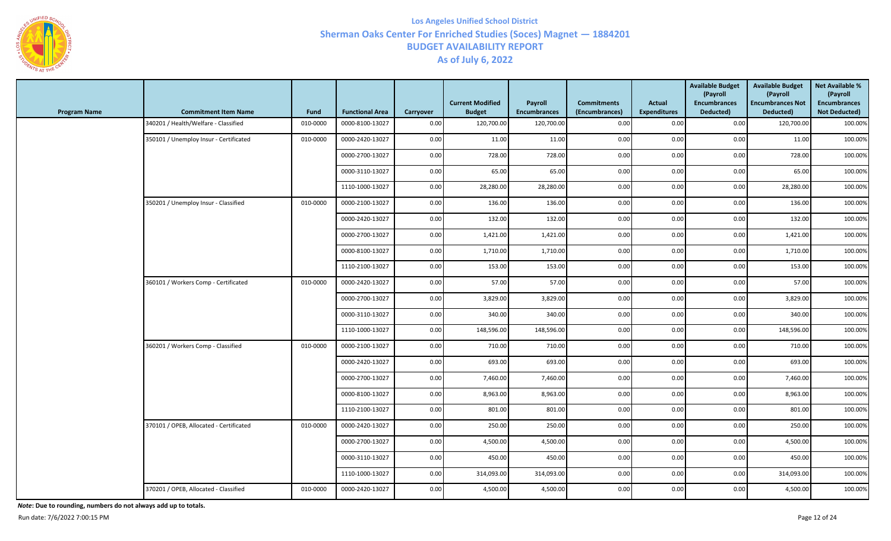

| <b>Program Name</b> | <b>Commitment Item Name</b>             | <b>Fund</b> | <b>Functional Area</b> | Carryover | <b>Current Modified</b><br><b>Budget</b> | Payroll<br><b>Encumbrances</b> | <b>Commitments</b><br>(Encumbrances) | Actual<br><b>Expenditures</b> | <b>Available Budget</b><br>(Payroll<br><b>Encumbrances</b><br>Deducted) | <b>Available Budget</b><br>(Payroll<br><b>Encumbrances Not</b><br>Deducted) | <b>Net Available %</b><br>(Payroll<br><b>Encumbrances</b><br><b>Not Deducted)</b> |
|---------------------|-----------------------------------------|-------------|------------------------|-----------|------------------------------------------|--------------------------------|--------------------------------------|-------------------------------|-------------------------------------------------------------------------|-----------------------------------------------------------------------------|-----------------------------------------------------------------------------------|
|                     | 340201 / Health/Welfare - Classified    | 010-0000    | 0000-8100-13027        | 0.00      | 120,700.00                               | 120,700.00                     | 0.00                                 | 0.00                          | 0.00                                                                    | 120,700.00                                                                  | 100.00%                                                                           |
|                     | 350101 / Unemploy Insur - Certificated  | 010-0000    | 0000-2420-13027        | 0.00      | 11.00                                    | 11.00                          | 0.00                                 | 0.00                          | 0.00                                                                    | 11.00                                                                       | 100.00%                                                                           |
|                     |                                         |             | 0000-2700-13027        | 0.00      | 728.00                                   | 728.00                         | 0.00                                 | 0.00                          | 0.00                                                                    | 728.00                                                                      | 100.00%                                                                           |
|                     |                                         |             | 0000-3110-13027        | 0.00      | 65.00                                    | 65.00                          | 0.00                                 | 0.00                          | 0.00                                                                    | 65.00                                                                       | 100.00%                                                                           |
|                     |                                         |             | 1110-1000-13027        | 0.00      | 28,280.00                                | 28,280.00                      | 0.00                                 | 0.00                          | 0.00                                                                    | 28,280.00                                                                   | 100.00%                                                                           |
|                     | 350201 / Unemploy Insur - Classified    | 010-0000    | 0000-2100-13027        | 0.00      | 136.00                                   | 136.00                         | 0.00                                 | 0.00                          | 0.00                                                                    | 136.00                                                                      | 100.00%                                                                           |
|                     |                                         |             | 0000-2420-13027        | 0.00      | 132.00                                   | 132.00                         | 0.00                                 | 0.00                          | 0.00                                                                    | 132.00                                                                      | 100.00%                                                                           |
|                     |                                         |             | 0000-2700-13027        | 0.00      | 1,421.00                                 | 1,421.00                       | 0.00                                 | 0.00                          | 0.00                                                                    | 1,421.00                                                                    | 100.00%                                                                           |
|                     |                                         |             | 0000-8100-13027        | 0.00      | 1,710.00                                 | 1,710.00                       | 0.00                                 | 0.00                          | 0.00                                                                    | 1,710.00                                                                    | 100.00%                                                                           |
|                     |                                         |             | 1110-2100-13027        | 0.00      | 153.00                                   | 153.00                         | 0.00                                 | 0.00                          | 0.00                                                                    | 153.00                                                                      | 100.00%                                                                           |
|                     | 360101 / Workers Comp - Certificated    | 010-0000    | 0000-2420-13027        | 0.00      | 57.00                                    | 57.00                          | 0.00                                 | 0.00                          | 0.00                                                                    | 57.00                                                                       | 100.00%                                                                           |
|                     |                                         |             | 0000-2700-13027        | 0.00      | 3,829.00                                 | 3,829.00                       | 0.00                                 | 0.00                          | 0.00                                                                    | 3,829.00                                                                    | 100.00%                                                                           |
|                     |                                         |             | 0000-3110-13027        | 0.00      | 340.00                                   | 340.00                         | 0.00                                 | 0.00                          | 0.00                                                                    | 340.00                                                                      | 100.00%                                                                           |
|                     |                                         |             | 1110-1000-13027        | 0.00      | 148,596.00                               | 148,596.00                     | 0.00                                 | 0.00                          | 0.00                                                                    | 148,596.00                                                                  | 100.00%                                                                           |
|                     | 360201 / Workers Comp - Classified      | 010-0000    | 0000-2100-13027        | 0.00      | 710.00                                   | 710.00                         | 0.00                                 | 0.00                          | 0.00                                                                    | 710.00                                                                      | 100.00%                                                                           |
|                     |                                         |             | 0000-2420-13027        | 0.00      | 693.00                                   | 693.00                         | 0.00                                 | 0.00                          | 0.00                                                                    | 693.00                                                                      | 100.00%                                                                           |
|                     |                                         |             | 0000-2700-13027        | 0.00      | 7,460.00                                 | 7,460.00                       | 0.00                                 | 0.00                          | 0.00                                                                    | 7,460.00                                                                    | 100.00%                                                                           |
|                     |                                         |             | 0000-8100-13027        | 0.00      | 8,963.00                                 | 8,963.00                       | 0.00                                 | 0.00                          | 0.00                                                                    | 8,963.00                                                                    | 100.00%                                                                           |
|                     |                                         |             | 1110-2100-13027        | 0.00      | 801.00                                   | 801.00                         | 0.00                                 | 0.00                          | 0.00                                                                    | 801.00                                                                      | 100.00%                                                                           |
|                     | 370101 / OPEB, Allocated - Certificated | 010-0000    | 0000-2420-13027        | 0.00      | 250.00                                   | 250.00                         | 0.00                                 | 0.00                          | 0.00                                                                    | 250.00                                                                      | 100.00%                                                                           |
|                     |                                         |             | 0000-2700-13027        | 0.00      | 4,500.00                                 | 4,500.00                       | 0.00                                 | 0.00                          | 0.00                                                                    | 4,500.00                                                                    | 100.00%                                                                           |
|                     |                                         |             | 0000-3110-13027        | 0.00      | 450.00                                   | 450.00                         | 0.00                                 | 0.00                          | 0.00                                                                    | 450.00                                                                      | 100.00%                                                                           |
|                     |                                         |             | 1110-1000-13027        | 0.00      | 314,093.00                               | 314,093.00                     | 0.00                                 | 0.00                          | 0.00                                                                    | 314,093.00                                                                  | 100.00%                                                                           |
|                     | 370201 / OPEB, Allocated - Classified   | 010-0000    | 0000-2420-13027        | 0.00      | 4,500.00                                 | 4,500.00                       | 0.00                                 | 0.00                          | 0.00                                                                    | 4,500.00                                                                    | 100.00%                                                                           |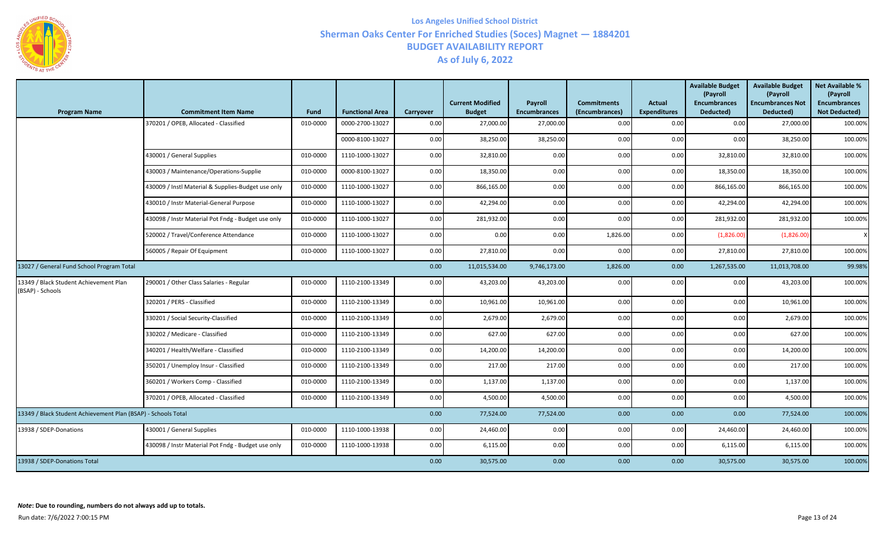

| <b>Program Name</b>                                           | <b>Commitment Item Name</b>                        | <b>Fund</b> | <b>Functional Area</b> | Carryover | <b>Current Modified</b><br><b>Budget</b> | Payroll<br><b>Encumbrances</b> | <b>Commitments</b><br>(Encumbrances) | Actual<br><b>Expenditures</b> | <b>Available Budget</b><br>(Payroll<br><b>Encumbrances</b><br>Deducted) | <b>Available Budget</b><br>(Payroll<br><b>Encumbrances Not</b><br>Deducted) | <b>Net Available %</b><br>(Payroll<br><b>Encumbrances</b><br><b>Not Deducted)</b> |
|---------------------------------------------------------------|----------------------------------------------------|-------------|------------------------|-----------|------------------------------------------|--------------------------------|--------------------------------------|-------------------------------|-------------------------------------------------------------------------|-----------------------------------------------------------------------------|-----------------------------------------------------------------------------------|
|                                                               | 370201 / OPEB, Allocated - Classified              | 010-0000    | 0000-2700-13027        | 0.00      | 27,000.00                                | 27,000.00                      | 0.00                                 | 0.00                          | 0.00                                                                    | 27,000.00                                                                   | 100.00%                                                                           |
|                                                               |                                                    |             | 0000-8100-13027        | 0.00      | 38,250.00                                | 38,250.00                      | 0.00                                 | 0.00                          | 0.00                                                                    | 38,250.00                                                                   | 100.00%                                                                           |
|                                                               | 430001 / General Supplies                          | 010-0000    | 1110-1000-13027        | 0.00      | 32,810.00                                | 0.00                           | 0.00                                 | 0.00                          | 32,810.00                                                               | 32,810.00                                                                   | 100.00%                                                                           |
|                                                               | 430003 / Maintenance/Operations-Supplie            | 010-0000    | 0000-8100-13027        | 0.00      | 18,350.00                                | 0.00                           | 0.00                                 | 0.00                          | 18,350.00                                                               | 18,350.00                                                                   | 100.00%                                                                           |
|                                                               | 430009 / Instl Material & Supplies-Budget use only | 010-0000    | 1110-1000-13027        | 0.00      | 866,165.00                               | 0.00                           | 0.00                                 | 0.00                          | 866,165.00                                                              | 866,165.00                                                                  | 100.00%                                                                           |
|                                                               | 430010 / Instr Material-General Purpose            | 010-0000    | 1110-1000-13027        | 0.00      | 42,294.00                                | 0.00                           | 0.00                                 | 0.00                          | 42,294.00                                                               | 42,294.00                                                                   | 100.00%                                                                           |
|                                                               | 430098 / Instr Material Pot Fndg - Budget use only | 010-0000    | 1110-1000-13027        | 0.00      | 281,932.00                               | 0.00                           | 0.00                                 | 0.00                          | 281,932.00                                                              | 281,932.00                                                                  | 100.00%                                                                           |
|                                                               | 520002 / Travel/Conference Attendance              | 010-0000    | 1110-1000-13027        | 0.00      | 0.00                                     | 0.00                           | 1,826.00                             | 0.00                          | (1,826.00)                                                              | (1,826.00)                                                                  | $\times$                                                                          |
|                                                               | 560005 / Repair Of Equipment                       | 010-0000    | 1110-1000-13027        | 0.00      | 27,810.00                                | 0.00                           | 0.00                                 | 0.00                          | 27,810.00                                                               | 27,810.00                                                                   | 100.00%                                                                           |
| 13027 / General Fund School Program Total                     |                                                    |             |                        | 0.00      | 11,015,534.00                            | 9,746,173.00                   | 1,826.00                             | 0.00                          | 1,267,535.00                                                            | 11,013,708.00                                                               | 99.98%                                                                            |
| 13349 / Black Student Achievement Plan<br>(BSAP) - Schools    | 290001 / Other Class Salaries - Regular            | 010-0000    | 1110-2100-13349        | 0.00      | 43,203.00                                | 43,203.00                      | 0.00                                 | 0.00                          | 0.00                                                                    | 43,203.00                                                                   | 100.00%                                                                           |
|                                                               | 320201 / PERS - Classified                         | 010-0000    | 1110-2100-13349        | 0.00      | 10,961.00                                | 10,961.00                      | 0.00                                 | 0.00                          | 0.00                                                                    | 10,961.00                                                                   | 100.00%                                                                           |
|                                                               | 330201 / Social Security-Classified                | 010-0000    | 1110-2100-13349        | 0.00      | 2,679.00                                 | 2,679.00                       | 0.00                                 | 0.00                          | 0.00                                                                    | 2,679.00                                                                    | 100.00%                                                                           |
|                                                               | 330202 / Medicare - Classified                     | 010-0000    | 1110-2100-13349        | 0.00      | 627.00                                   | 627.00                         | 0.00                                 | 0.00                          | 0.00                                                                    | 627.00                                                                      | 100.00%                                                                           |
|                                                               | 340201 / Health/Welfare - Classified               | 010-0000    | 1110-2100-13349        | 0.00      | 14,200.00                                | 14,200.00                      | 0.00                                 | 0.00                          | 0.00                                                                    | 14,200.00                                                                   | 100.00%                                                                           |
|                                                               | 350201 / Unemploy Insur - Classified               | 010-0000    | 1110-2100-13349        | 0.00      | 217.00                                   | 217.00                         | 0.00                                 | 0.00                          | 0.00                                                                    | 217.00                                                                      | 100.00%                                                                           |
|                                                               | 360201 / Workers Comp - Classified                 | 010-0000    | 1110-2100-13349        | 0.00      | 1,137.00                                 | 1,137.00                       | 0.00                                 | 0.00                          | 0.00                                                                    | 1,137.00                                                                    | 100.00%                                                                           |
|                                                               | 370201 / OPEB, Allocated - Classified              | 010-0000    | 1110-2100-13349        | 0.00      | 4,500.00                                 | 4,500.00                       | 0.00                                 | 0.00                          | 0.00                                                                    | 4,500.00                                                                    | 100.00%                                                                           |
| 13349 / Black Student Achievement Plan (BSAP) - Schools Total |                                                    |             |                        | 0.00      | 77,524.00                                | 77,524.00                      | 0.00                                 | 0.00                          | 0.00                                                                    | 77,524.00                                                                   | 100.00%                                                                           |
| 13938 / SDEP-Donations                                        | 430001 / General Supplies                          | 010-0000    | 1110-1000-13938        | 0.00      | 24,460.00                                | 0.00                           | 0.00                                 | 0.00                          | 24,460.00                                                               | 24,460.00                                                                   | 100.00%                                                                           |
|                                                               | 430098 / Instr Material Pot Fndg - Budget use only | 010-0000    | 1110-1000-13938        | 0.00      | 6,115.00                                 | 0.00                           | 0.00                                 | 0.00                          | 6,115.00                                                                | 6,115.00                                                                    | 100.00%                                                                           |
| 13938 / SDEP-Donations Total                                  |                                                    | 0.00        | 30,575.00              | 0.00      | 0.00                                     | 0.00                           | 30,575.00                            | 30,575.00                     | 100.00%                                                                 |                                                                             |                                                                                   |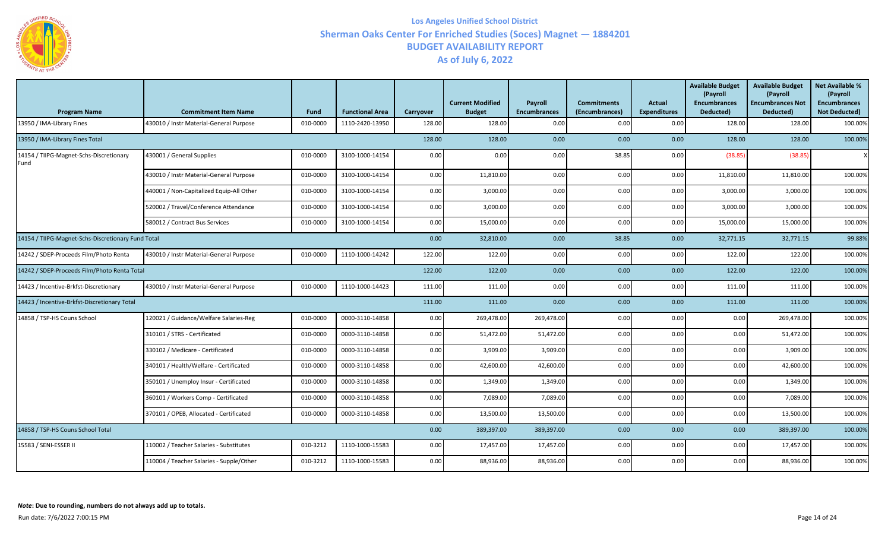

| <b>Program Name</b>                                | <b>Commitment Item Name</b>              | <b>Fund</b> | <b>Functional Area</b> | Carryover | <b>Current Modified</b><br><b>Budget</b> | Payroll<br><b>Encumbrances</b> | <b>Commitments</b><br>(Encumbrances) | Actual<br><b>Expenditures</b> | <b>Available Budget</b><br>(Payroll<br><b>Encumbrances</b><br>Deducted) | <b>Available Budget</b><br>(Payroll<br><b>Encumbrances Not</b><br>Deducted) | <b>Net Available %</b><br>(Payroll<br><b>Encumbrances</b><br><b>Not Deducted)</b> |
|----------------------------------------------------|------------------------------------------|-------------|------------------------|-----------|------------------------------------------|--------------------------------|--------------------------------------|-------------------------------|-------------------------------------------------------------------------|-----------------------------------------------------------------------------|-----------------------------------------------------------------------------------|
| 13950 / IMA-Library Fines                          | 430010 / Instr Material-General Purpose  | 010-0000    | 1110-2420-13950        | 128.00    | 128.00                                   | 0.00                           | 0.00                                 | 0.00                          | 128.00                                                                  | 128.00                                                                      | 100.00%                                                                           |
| 13950 / IMA-Library Fines Total                    |                                          |             |                        | 128.00    | 128.00                                   | 0.00                           | 0.00                                 | 0.00                          | 128.00                                                                  | 128.00                                                                      | 100.00%                                                                           |
| 14154 / TIIPG-Magnet-Schs-Discretionary<br>Fund    | 430001 / General Supplies                | 010-0000    | 3100-1000-14154        | 0.00      | 0.00                                     | 0.00                           | 38.85                                | 0.00                          | (38.85)                                                                 | (38.85)                                                                     |                                                                                   |
|                                                    | 430010 / Instr Material-General Purpose  | 010-0000    | 3100-1000-14154        | 0.00      | 11,810.00                                | 0.00                           | 0.00                                 | 0.00                          | 11,810.00                                                               | 11,810.00                                                                   | 100.00%                                                                           |
|                                                    | 440001 / Non-Capitalized Equip-All Other | 010-0000    | 3100-1000-14154        | 0.00      | 3,000.00                                 | 0.00                           | 0.00                                 | 0.00                          | 3,000.00                                                                | 3,000.00                                                                    | 100.00%                                                                           |
|                                                    | 520002 / Travel/Conference Attendance    | 010-0000    | 3100-1000-14154        | 0.00      | 3,000.00                                 | 0.00                           | 0.00                                 | 0.00                          | 3,000.00                                                                | 3,000.00                                                                    | 100.00%                                                                           |
|                                                    | 580012 / Contract Bus Services           | 010-0000    | 3100-1000-14154        | 0.00      | 15,000.00                                | 0.00                           | 0.00                                 | 0.00                          | 15,000.00                                                               | 15,000.00                                                                   | 100.00%                                                                           |
| 14154 / TIIPG-Magnet-Schs-Discretionary Fund Total |                                          |             |                        | 0.00      | 32,810.00                                | 0.00                           | 38.85                                | 0.00                          | 32,771.15                                                               | 32,771.15                                                                   | 99.88%                                                                            |
| 14242 / SDEP-Proceeds Film/Photo Renta             | 430010 / Instr Material-General Purpose  | 010-0000    | 1110-1000-14242        | 122.00    | 122.00                                   | 0.00                           | 0.00                                 | 0.00                          | 122.00                                                                  | 122.00                                                                      | 100.00%                                                                           |
| 14242 / SDEP-Proceeds Film/Photo Renta Total       |                                          |             |                        | 122.00    | 122.00                                   | 0.00                           | 0.00                                 | 0.00                          | 122.00                                                                  | 122.00                                                                      | 100.00%                                                                           |
| 14423 / Incentive-Brkfst-Discretionary             | 430010 / Instr Material-General Purpose  | 010-0000    | 1110-1000-14423        | 111.00    | 111.00                                   | 0.00                           | 0.00                                 | 0.00                          | 111.00                                                                  | 111.00                                                                      | 100.00%                                                                           |
| 14423 / Incentive-Brkfst-Discretionary Total       |                                          |             |                        | 111.00    | 111.00                                   | 0.00                           | 0.00                                 | 0.00                          | 111.00                                                                  | 111.00                                                                      | 100.00%                                                                           |
| 14858 / TSP-HS Couns School                        | 120021 / Guidance/Welfare Salaries-Reg   | 010-0000    | 0000-3110-14858        | 0.00      | 269,478.00                               | 269,478.00                     | 0.00                                 | 0.00                          | 0.00                                                                    | 269,478.00                                                                  | 100.00%                                                                           |
|                                                    | 310101 / STRS - Certificated             | 010-0000    | 0000-3110-14858        | 0.00      | 51,472.00                                | 51,472.00                      | 0.00                                 | 0.00                          | 0.00                                                                    | 51,472.00                                                                   | 100.00%                                                                           |
|                                                    | 330102 / Medicare - Certificated         | 010-0000    | 0000-3110-14858        | 0.00      | 3,909.00                                 | 3,909.00                       | 0.00                                 | 0.00                          | 0.00                                                                    | 3,909.00                                                                    | 100.00%                                                                           |
|                                                    | 340101 / Health/Welfare - Certificated   | 010-0000    | 0000-3110-14858        | 0.00      | 42,600.00                                | 42,600.00                      | 0.00                                 | 0.00                          | 0.00                                                                    | 42,600.00                                                                   | 100.00%                                                                           |
|                                                    | 350101 / Unemploy Insur - Certificated   | 010-0000    | 0000-3110-14858        | 0.00      | 1,349.00                                 | 1,349.00                       | 0.00                                 | 0.00                          | 0.00                                                                    | 1,349.00                                                                    | 100.00%                                                                           |
|                                                    | 360101 / Workers Comp - Certificated     | 010-0000    | 0000-3110-14858        | 0.00      | 7,089.00                                 | 7,089.00                       | 0.00                                 | 0.00                          | 0.00                                                                    | 7,089.00                                                                    | 100.00%                                                                           |
|                                                    | 370101 / OPEB, Allocated - Certificated  | 010-0000    | 0000-3110-14858        | 0.00      | 13,500.00                                | 13,500.00                      | 0.00                                 | 0.00                          | 0.00                                                                    | 13,500.00                                                                   | 100.00%                                                                           |
| 14858 / TSP-HS Couns School Total                  |                                          |             |                        | 0.00      | 389,397.00                               | 389,397.00                     | 0.00                                 | 0.00                          | 0.00                                                                    | 389,397.00                                                                  | 100.00%                                                                           |
| 15583 / SENI-ESSER II                              | 110002 / Teacher Salaries - Substitutes  | 010-3212    | 1110-1000-15583        | 0.00      | 17,457.00                                | 17,457.00                      | 0.00                                 | 0.00                          | 0.00                                                                    | 17,457.00                                                                   | 100.00%                                                                           |
|                                                    | 110004 / Teacher Salaries - Supple/Other | 010-3212    | 1110-1000-15583        | 0.00      | 88,936.00                                | 88,936.00                      | 0.00                                 | 0.00                          | 0.00                                                                    | 88,936.00                                                                   | 100.00%                                                                           |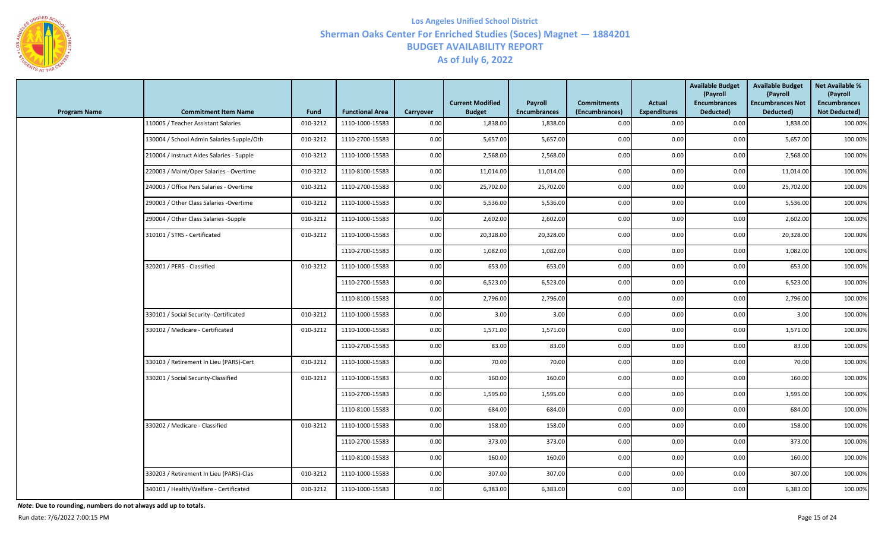

| <b>Program Name</b> | <b>Commitment Item Name</b>               | Fund     | <b>Functional Area</b> | Carryover | <b>Current Modified</b><br><b>Budget</b> | <b>Payroll</b><br><b>Encumbrances</b> | <b>Commitments</b><br>(Encumbrances) | Actual<br><b>Expenditures</b> | <b>Available Budget</b><br>(Payroll<br><b>Encumbrances</b><br>Deducted) | <b>Available Budget</b><br>(Payroll<br><b>Encumbrances Not</b><br>Deducted) | <b>Net Available %</b><br>(Payroll<br><b>Encumbrances</b><br><b>Not Deducted)</b> |
|---------------------|-------------------------------------------|----------|------------------------|-----------|------------------------------------------|---------------------------------------|--------------------------------------|-------------------------------|-------------------------------------------------------------------------|-----------------------------------------------------------------------------|-----------------------------------------------------------------------------------|
|                     | 110005 / Teacher Assistant Salaries       | 010-3212 | 1110-1000-15583        | 0.00      | 1,838.00                                 | 1,838.00                              | 0.00                                 | 0.00                          | 0.00                                                                    | 1,838.00                                                                    | 100.00%                                                                           |
|                     | 130004 / School Admin Salaries-Supple/Oth | 010-3212 | 1110-2700-15583        | 0.00      | 5,657.00                                 | 5,657.00                              | 0.00                                 | 0.00                          | 0.00                                                                    | 5,657.00                                                                    | 100.00%                                                                           |
|                     | 210004 / Instruct Aides Salaries - Supple | 010-3212 | 1110-1000-15583        | 0.00      | 2,568.00                                 | 2,568.00                              | 0.00                                 | 0.00                          | 0.00                                                                    | 2,568.00                                                                    | 100.00%                                                                           |
|                     | 220003 / Maint/Oper Salaries - Overtime   | 010-3212 | 1110-8100-15583        | 0.00      | 11,014.00                                | 11,014.00                             | 0.00                                 | 0.00                          | 0.00                                                                    | 11,014.00                                                                   | 100.00%                                                                           |
|                     | 240003 / Office Pers Salaries - Overtime  | 010-3212 | 1110-2700-15583        | 0.00      | 25,702.00                                | 25,702.00                             | 0.00                                 | 0.00                          | 0.00                                                                    | 25,702.00                                                                   | 100.00%                                                                           |
|                     | 290003 / Other Class Salaries -Overtime   | 010-3212 | 1110-1000-15583        | 0.00      | 5,536.00                                 | 5,536.00                              | 0.00                                 | 0.00                          | 0.00                                                                    | 5,536.00                                                                    | 100.00%                                                                           |
|                     | 290004 / Other Class Salaries -Supple     | 010-3212 | 1110-1000-15583        | 0.00      | 2,602.00                                 | 2,602.00                              | 0.00                                 | 0.00                          | 0.00                                                                    | 2,602.00                                                                    | 100.00%                                                                           |
|                     | 310101 / STRS - Certificated              | 010-3212 | 1110-1000-15583        | 0.00      | 20,328.00                                | 20,328.00                             | 0.00                                 | 0.00                          | 0.00                                                                    | 20,328.00                                                                   | 100.00%                                                                           |
|                     |                                           |          | 1110-2700-15583        | 0.00      | 1,082.00                                 | 1,082.00                              | 0.00                                 | 0.00                          | 0.00                                                                    | 1,082.00                                                                    | 100.00%                                                                           |
|                     | 320201 / PERS - Classified                | 010-3212 | 1110-1000-15583        | 0.00      | 653.00                                   | 653.00                                | 0.00                                 | 0.00                          | 0.00                                                                    | 653.00                                                                      | 100.00%                                                                           |
|                     |                                           |          | 1110-2700-15583        | 0.00      | 6,523.00                                 | 6,523.00                              | 0.00                                 | 0.00                          | 0.00                                                                    | 6,523.00                                                                    | 100.00%                                                                           |
|                     |                                           |          | 1110-8100-15583        | 0.00      | 2,796.00                                 | 2,796.00                              | 0.00                                 | 0.00                          | 0.00                                                                    | 2,796.00                                                                    | 100.00%                                                                           |
|                     | 330101 / Social Security -Certificated    | 010-3212 | 1110-1000-15583        | 0.00      | 3.00                                     | 3.00                                  | 0.00                                 | 0.00                          | 0.00                                                                    | 3.00                                                                        | 100.00%                                                                           |
|                     | 330102 / Medicare - Certificated          | 010-3212 | 1110-1000-15583        | 0.00      | 1,571.00                                 | 1,571.00                              | 0.00                                 | 0.00                          | 0.00                                                                    | 1,571.00                                                                    | 100.00%                                                                           |
|                     |                                           |          | 1110-2700-15583        | 0.00      | 83.00                                    | 83.00                                 | 0.00                                 | 0.00                          | 0.00                                                                    | 83.00                                                                       | 100.00%                                                                           |
|                     | 330103 / Retirement In Lieu (PARS)-Cert   | 010-3212 | 1110-1000-15583        | 0.00      | 70.00                                    | 70.00                                 | 0.00                                 | 0.00                          | 0.00                                                                    | 70.00                                                                       | 100.00%                                                                           |
|                     | 330201 / Social Security-Classified       | 010-3212 | 1110-1000-15583        | 0.00      | 160.00                                   | 160.00                                | 0.00                                 | 0.00                          | 0.00                                                                    | 160.00                                                                      | 100.00%                                                                           |
|                     |                                           |          | 1110-2700-15583        | 0.00      | 1,595.00                                 | 1,595.00                              | 0.00                                 | 0.00                          | 0.00                                                                    | 1,595.00                                                                    | 100.00%                                                                           |
|                     |                                           |          | 1110-8100-15583        | 0.00      | 684.00                                   | 684.00                                | 0.00                                 | 0.00                          | 0.00                                                                    | 684.00                                                                      | 100.00%                                                                           |
|                     | 330202 / Medicare - Classified            | 010-3212 | 1110-1000-15583        | 0.00      | 158.00                                   | 158.00                                | 0.00                                 | 0.00                          | 0.00                                                                    | 158.00                                                                      | 100.00%                                                                           |
|                     |                                           |          | 1110-2700-15583        | 0.00      | 373.00                                   | 373.00                                | 0.00                                 | 0.00                          | 0.00                                                                    | 373.00                                                                      | 100.00%                                                                           |
|                     |                                           |          | 1110-8100-15583        | 0.00      | 160.00                                   | 160.00                                | 0.00                                 | 0.00                          | 0.00                                                                    | 160.00                                                                      | 100.00%                                                                           |
|                     | 330203 / Retirement In Lieu (PARS)-Clas   | 010-3212 | 1110-1000-15583        | 0.00      | 307.00                                   | 307.00                                | 0.00                                 | 0.00                          | 0.00                                                                    | 307.00                                                                      | 100.00%                                                                           |
|                     | 340101 / Health/Welfare - Certificated    | 010-3212 | 1110-1000-15583        | 0.00      | 6,383.00                                 | 6,383.00                              | 0.00                                 | 0.00                          | 0.00                                                                    | 6,383.00                                                                    | 100.00%                                                                           |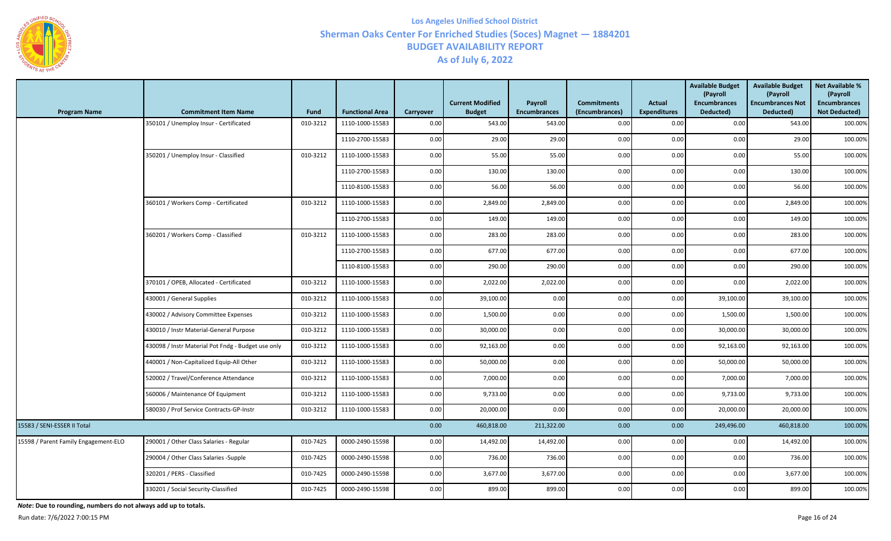

| <b>Program Name</b>                  | <b>Commitment Item Name</b>                        | Fund     | <b>Functional Area</b> | Carryover | <b>Current Modified</b><br><b>Budget</b> | Payroll<br><b>Encumbrances</b> | <b>Commitments</b><br>(Encumbrances) | <b>Actual</b><br><b>Expenditures</b> | <b>Available Budget</b><br>(Payroll<br><b>Encumbrances</b><br>Deducted) | <b>Available Budget</b><br>(Payroll<br><b>Encumbrances Not</b><br>Deducted) | <b>Net Available %</b><br>(Payroll<br><b>Encumbrances</b><br>Not Deducted) |
|--------------------------------------|----------------------------------------------------|----------|------------------------|-----------|------------------------------------------|--------------------------------|--------------------------------------|--------------------------------------|-------------------------------------------------------------------------|-----------------------------------------------------------------------------|----------------------------------------------------------------------------|
|                                      | 350101 / Unemploy Insur - Certificated             | 010-3212 | 1110-1000-15583        | 0.00      | 543.00                                   | 543.00                         | 0.00                                 | 0.00                                 | 0.00                                                                    | 543.00                                                                      | 100.00%                                                                    |
|                                      |                                                    |          | 1110-2700-15583        | 0.00      | 29.00                                    | 29.00                          | 0.00                                 | 0.00                                 | 0.00                                                                    | 29.00                                                                       | 100.00%                                                                    |
|                                      | 350201 / Unemploy Insur - Classified               | 010-3212 | 1110-1000-15583        | 0.00      | 55.00                                    | 55.00                          | 0.00                                 | 0.00                                 | 0.00                                                                    | 55.00                                                                       | 100.00%                                                                    |
|                                      |                                                    |          | 1110-2700-15583        | 0.00      | 130.00                                   | 130.00                         | 0.00                                 | 0.00                                 | 0.00                                                                    | 130.00                                                                      | 100.00%                                                                    |
|                                      |                                                    |          | 1110-8100-15583        | 0.00      | 56.00                                    | 56.00                          | 0.00                                 | 0.00                                 | 0.00                                                                    | 56.00                                                                       | 100.00%                                                                    |
|                                      | 360101 / Workers Comp - Certificated               | 010-3212 | 1110-1000-15583        | 0.00      | 2,849.00                                 | 2,849.00                       | 0.00                                 | 0.00                                 | 0.00                                                                    | 2,849.00                                                                    | 100.00%                                                                    |
|                                      |                                                    |          | 1110-2700-15583        | 0.00      | 149.00                                   | 149.00                         | 0.00                                 | 0.00                                 | 0.00                                                                    | 149.00                                                                      | 100.00%                                                                    |
|                                      | 360201 / Workers Comp - Classified                 | 010-3212 | 1110-1000-15583        | 0.00      | 283.00                                   | 283.00                         | 0.00                                 | 0.00                                 | 0.00                                                                    | 283.00                                                                      | 100.00%                                                                    |
|                                      |                                                    |          | 1110-2700-15583        | 0.00      | 677.00                                   | 677.00                         | 0.00                                 | 0.00                                 | 0.00                                                                    | 677.00                                                                      | 100.00%                                                                    |
|                                      |                                                    |          | 1110-8100-15583        | 0.00      | 290.00                                   | 290.00                         | 0.00                                 | 0.00                                 | 0.00                                                                    | 290.00                                                                      | 100.00%                                                                    |
|                                      | 370101 / OPEB, Allocated - Certificated            | 010-3212 | 1110-1000-15583        | 0.00      | 2,022.00                                 | 2,022.00                       | 0.00                                 | 0.00                                 | 0.00                                                                    | 2,022.00                                                                    | 100.00%                                                                    |
|                                      | 430001 / General Supplies                          | 010-3212 | 1110-1000-15583        | 0.00      | 39,100.00                                | 0.00                           | 0.00                                 | 0.00                                 | 39,100.00                                                               | 39,100.00                                                                   | 100.00%                                                                    |
|                                      | 430002 / Advisory Committee Expenses               | 010-3212 | 1110-1000-15583        | 0.00      | 1,500.00                                 | 0.00                           | 0.00                                 | 0.00                                 | 1,500.00                                                                | 1,500.00                                                                    | 100.00%                                                                    |
|                                      | 430010 / Instr Material-General Purpose            | 010-3212 | 1110-1000-15583        | 0.00      | 30,000.00                                | 0.00                           | 0.00                                 | 0.00                                 | 30,000.00                                                               | 30,000.00                                                                   | 100.00%                                                                    |
|                                      | 430098 / Instr Material Pot Fndg - Budget use only | 010-3212 | 1110-1000-15583        | 0.00      | 92,163.00                                | 0.00                           | 0.00                                 | 0.00                                 | 92,163.00                                                               | 92,163.00                                                                   | 100.00%                                                                    |
|                                      | 440001 / Non-Capitalized Equip-All Other           | 010-3212 | 1110-1000-15583        | 0.00      | 50,000.00                                | 0.00                           | 0.00                                 | 0.00                                 | 50,000.00                                                               | 50,000.00                                                                   | 100.00%                                                                    |
|                                      | 520002 / Travel/Conference Attendance              | 010-3212 | 1110-1000-15583        | 0.00      | 7,000.00                                 | 0.00                           | 0.00                                 | 0.00                                 | 7,000.00                                                                | 7,000.00                                                                    | 100.00%                                                                    |
|                                      | 560006 / Maintenance Of Equipment                  | 010-3212 | 1110-1000-15583        | 0.00      | 9,733.00                                 | 0.00                           | 0.00                                 | 0.00                                 | 9,733.00                                                                | 9,733.00                                                                    | 100.00%                                                                    |
|                                      | 580030 / Prof Service Contracts-GP-Instr           | 010-3212 | 1110-1000-15583        | 0.00      | 20,000.00                                | 0.00                           | 0.00                                 | 0.00                                 | 20,000.00                                                               | 20,000.00                                                                   | 100.00%                                                                    |
| 15583 / SENI-ESSER II Total          |                                                    |          |                        | 0.00      | 460,818.00                               | 211,322.00                     | 0.00                                 | 0.00                                 | 249,496.00                                                              | 460,818.00                                                                  | 100.00%                                                                    |
| 15598 / Parent Family Engagement-ELO | 290001 / Other Class Salaries - Regular            | 010-7425 | 0000-2490-15598        | $0.00\,$  | 14,492.00                                | 14,492.00                      | 0.00                                 | 0.00                                 | 0.00                                                                    | 14,492.00                                                                   | 100.00%                                                                    |
|                                      | 290004 / Other Class Salaries -Supple              | 010-7425 | 0000-2490-15598        | 0.00      | 736.00                                   | 736.00                         | 0.00                                 | 0.00                                 | 0.00                                                                    | 736.00                                                                      | 100.00%                                                                    |
|                                      | 320201 / PERS - Classified                         | 010-7425 | 0000-2490-15598        | 0.00      | 3,677.00                                 | 3,677.00                       | 0.00                                 | 0.00                                 | 0.00                                                                    | 3,677.00                                                                    | 100.00%                                                                    |
|                                      | 330201 / Social Security-Classified                | 010-7425 | 0000-2490-15598        | 0.00      | 899.00                                   | 899.00                         | 0.00                                 | 0.00                                 | 0.00                                                                    | 899.00                                                                      | 100.00%                                                                    |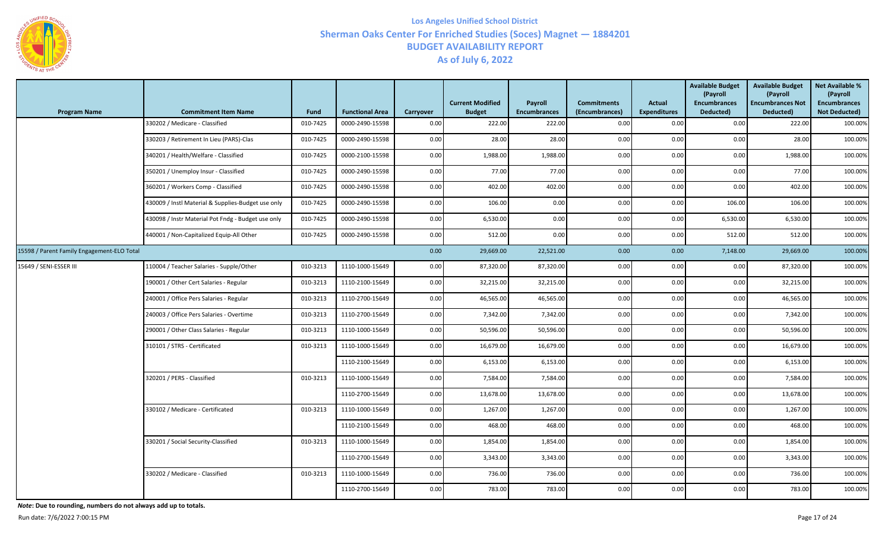

| <b>Program Name</b>                        | <b>Commitment Item Name</b>                        | Fund     | <b>Functional Area</b> | Carryover | <b>Current Modified</b><br><b>Budget</b> | Payroll<br><b>Encumbrances</b> | <b>Commitments</b><br>(Encumbrances) | <b>Actual</b><br><b>Expenditures</b> | <b>Available Budget</b><br>(Payroll<br><b>Encumbrances</b><br>Deducted) | <b>Available Budget</b><br>(Payroll<br><b>Encumbrances Not</b><br>Deducted) | <b>Net Available %</b><br>(Payroll<br><b>Encumbrances</b><br><b>Not Deducted)</b> |
|--------------------------------------------|----------------------------------------------------|----------|------------------------|-----------|------------------------------------------|--------------------------------|--------------------------------------|--------------------------------------|-------------------------------------------------------------------------|-----------------------------------------------------------------------------|-----------------------------------------------------------------------------------|
|                                            | 330202 / Medicare - Classified                     | 010-7425 | 0000-2490-15598        | 0.00      | 222.00                                   | 222.00                         | 0.00                                 | 0.00                                 | 0.00                                                                    | 222.00                                                                      | 100.00%                                                                           |
|                                            | 330203 / Retirement In Lieu (PARS)-Clas            | 010-7425 | 0000-2490-15598        | 0.00      | 28.00                                    | 28.00                          | 0.00                                 | 0.00                                 | 0.00                                                                    | 28.00                                                                       | 100.00%                                                                           |
|                                            | 340201 / Health/Welfare - Classified               | 010-7425 | 0000-2100-15598        | 0.00      | 1,988.00                                 | 1,988.00                       | 0.00                                 | 0.00                                 | 0.00                                                                    | 1,988.00                                                                    | 100.00%                                                                           |
|                                            | 350201 / Unemploy Insur - Classified               | 010-7425 | 0000-2490-15598        | 0.00      | 77.00                                    | 77.00                          | 0.00                                 | 0.00                                 | 0.00                                                                    | 77.00                                                                       | 100.00%                                                                           |
|                                            | 360201 / Workers Comp - Classified                 | 010-7425 | 0000-2490-15598        | 0.00      | 402.00                                   | 402.00                         | 0.00                                 | 0.00                                 | 0.00                                                                    | 402.00                                                                      | 100.00%                                                                           |
|                                            | 430009 / Instl Material & Supplies-Budget use only | 010-7425 | 0000-2490-15598        | 0.00      | 106.00                                   | 0.00                           | 0.00                                 | 0.00                                 | 106.00                                                                  | 106.00                                                                      | 100.00%                                                                           |
|                                            | 430098 / Instr Material Pot Fndg - Budget use only | 010-7425 | 0000-2490-15598        | 0.00      | 6,530.00                                 | 0.00                           | 0.00                                 | 0.00                                 | 6,530.00                                                                | 6,530.00                                                                    | 100.00%                                                                           |
|                                            | 440001 / Non-Capitalized Equip-All Other           | 010-7425 | 0000-2490-15598        | 0.00      | 512.00                                   | 0.00                           | 0.00                                 | 0.00                                 | 512.00                                                                  | 512.00                                                                      | 100.00%                                                                           |
| 15598 / Parent Family Engagement-ELO Total |                                                    |          |                        | 0.00      | 29,669.00                                | 22,521.00                      | 0.00                                 | 0.00                                 | 7,148.00                                                                | 29,669.00                                                                   | 100.00%                                                                           |
| 15649 / SENI-ESSER III                     | 110004 / Teacher Salaries - Supple/Other           | 010-3213 | 1110-1000-15649        | 0.00      | 87,320.00                                | 87,320.00                      | 0.00                                 | 0.00                                 | 0.00                                                                    | 87,320.00                                                                   | 100.00%                                                                           |
|                                            | 190001 / Other Cert Salaries - Regular             | 010-3213 | 1110-2100-15649        | 0.00      | 32,215.00                                | 32,215.00                      | 0.00                                 | 0.00                                 | 0.00                                                                    | 32,215.00                                                                   | 100.00%                                                                           |
|                                            | 240001 / Office Pers Salaries - Regular            | 010-3213 | 1110-2700-15649        | 0.00      | 46,565.00                                | 46,565.00                      | 0.00                                 | 0.00                                 | 0.00                                                                    | 46,565.00                                                                   | 100.00%                                                                           |
|                                            | 240003 / Office Pers Salaries - Overtime           | 010-3213 | 1110-2700-15649        | 0.00      | 7,342.00                                 | 7,342.00                       | 0.00                                 | 0.00                                 | 0.00                                                                    | 7,342.00                                                                    | 100.00%                                                                           |
|                                            | 290001 / Other Class Salaries - Regular            | 010-3213 | 1110-1000-15649        | 0.00      | 50,596.00                                | 50,596.00                      | 0.00                                 | 0.00                                 | 0.00                                                                    | 50,596.00                                                                   | 100.00%                                                                           |
|                                            | 310101 / STRS - Certificated                       | 010-3213 | 1110-1000-15649        | 0.00      | 16,679.00                                | 16,679.00                      | 0.00                                 | 0.00                                 | 0.00                                                                    | 16,679.00                                                                   | 100.00%                                                                           |
|                                            |                                                    |          | 1110-2100-15649        | 0.00      | 6,153.00                                 | 6,153.00                       | 0.00                                 | 0.00                                 | 0.00                                                                    | 6,153.00                                                                    | 100.00%                                                                           |
|                                            | 320201 / PERS - Classified                         | 010-3213 | 1110-1000-15649        | 0.00      | 7,584.00                                 | 7,584.00                       | 0.00                                 | 0.00                                 | 0.00                                                                    | 7,584.00                                                                    | 100.00%                                                                           |
|                                            |                                                    |          | 1110-2700-15649        | 0.00      | 13,678.00                                | 13,678.00                      | 0.00                                 | 0.00                                 | 0.00                                                                    | 13,678.00                                                                   | 100.00%                                                                           |
|                                            | 330102 / Medicare - Certificated                   | 010-3213 | 1110-1000-15649        | 0.00      | 1,267.00                                 | 1,267.00                       | 0.00                                 | 0.00                                 | 0.00                                                                    | 1,267.00                                                                    | 100.00%                                                                           |
|                                            |                                                    |          | 1110-2100-15649        | 0.00      | 468.00                                   | 468.00                         | 0.00                                 | 0.00                                 | 0.00                                                                    | 468.00                                                                      | 100.00%                                                                           |
|                                            | 330201 / Social Security-Classified                | 010-3213 | 1110-1000-15649        | 0.00      | 1,854.00                                 | 1,854.00                       | 0.00                                 | 0.00                                 | 0.00                                                                    | 1,854.00                                                                    | 100.00%                                                                           |
|                                            |                                                    |          | 1110-2700-15649        | 0.00      | 3,343.00                                 | 3,343.00                       | 0.00                                 | 0.00                                 | 0.00                                                                    | 3,343.00                                                                    | 100.00%                                                                           |
|                                            | 330202 / Medicare - Classified                     | 010-3213 | 1110-1000-15649        | 0.00      | 736.00                                   | 736.00                         | 0.00                                 | 0.00                                 | 0.00                                                                    | 736.00                                                                      | 100.00%                                                                           |
|                                            |                                                    |          | 1110-2700-15649        | 0.00      | 783.00                                   | 783.00                         | 0.00                                 | 0.00                                 | 0.00                                                                    | 783.00                                                                      | 100.00%                                                                           |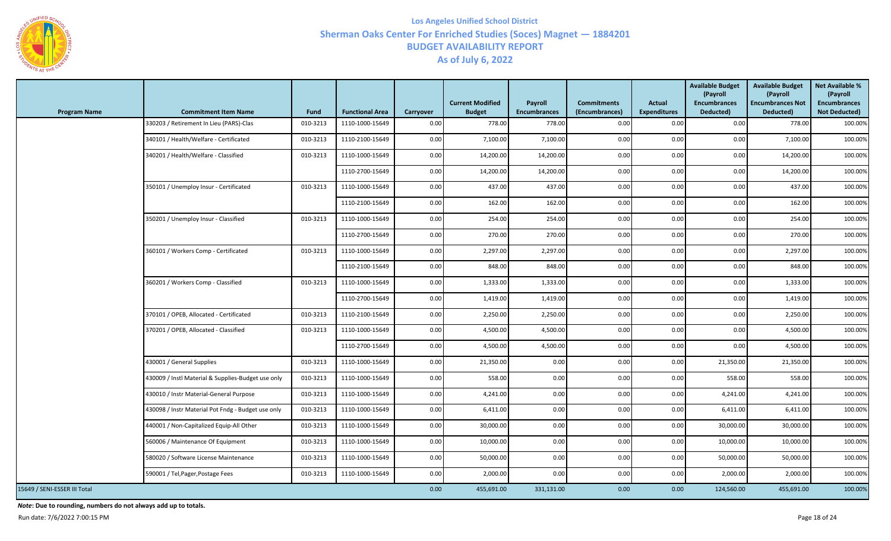

| <b>Program Name</b>          | <b>Commitment Item Name</b>                        | <b>Fund</b> | <b>Functional Area</b> | Carryover | <b>Current Modified</b><br><b>Budget</b> | Payroll<br><b>Encumbrances</b> | <b>Commitments</b><br>(Encumbrances) | <b>Actual</b><br><b>Expenditures</b> | <b>Available Budget</b><br>(Payroll<br><b>Encumbrances</b><br>Deducted) | <b>Available Budget</b><br>(Payroll<br><b>Encumbrances Not</b><br>Deducted) | <b>Net Available %</b><br>(Payroll<br><b>Encumbrances</b><br><b>Not Deducted)</b> |
|------------------------------|----------------------------------------------------|-------------|------------------------|-----------|------------------------------------------|--------------------------------|--------------------------------------|--------------------------------------|-------------------------------------------------------------------------|-----------------------------------------------------------------------------|-----------------------------------------------------------------------------------|
|                              | 330203 / Retirement In Lieu (PARS)-Clas            | 010-3213    | 1110-1000-15649        | 0.00      | 778.00                                   | 778.00                         | 0.00                                 | 0.00                                 | 0.00                                                                    | 778.00                                                                      | 100.00%                                                                           |
|                              | 340101 / Health/Welfare - Certificated             | 010-3213    | 1110-2100-15649        | 0.00      | 7,100.00                                 | 7,100.00                       | 0.00                                 | 0.00                                 | 0.00                                                                    | 7,100.00                                                                    | 100.00%                                                                           |
|                              | 340201 / Health/Welfare - Classified               | 010-3213    | 1110-1000-15649        | 0.00      | 14,200.00                                | 14,200.00                      | 0.00                                 | 0.00                                 | 0.00                                                                    | 14,200.00                                                                   | 100.00%                                                                           |
|                              |                                                    |             | 1110-2700-15649        | 0.00      | 14,200.00                                | 14,200.00                      | 0.00                                 | 0.00                                 | 0.00                                                                    | 14,200.00                                                                   | 100.00%                                                                           |
|                              | 350101 / Unemploy Insur - Certificated             | 010-3213    | 1110-1000-15649        | 0.00      | 437.00                                   | 437.00                         | 0.00                                 | 0.00                                 | 0.00                                                                    | 437.00                                                                      | 100.00%                                                                           |
|                              |                                                    |             | 1110-2100-15649        | 0.00      | 162.00                                   | 162.00                         | 0.00                                 | 0.00                                 | 0.00                                                                    | 162.00                                                                      | 100.00%                                                                           |
|                              | 350201 / Unemploy Insur - Classified               | 010-3213    | 1110-1000-15649        | 0.00      | 254.00                                   | 254.00                         | 0.00                                 | 0.00                                 | 0.00                                                                    | 254.00                                                                      | 100.00%                                                                           |
|                              |                                                    |             | 1110-2700-15649        | 0.00      | 270.00                                   | 270.00                         | 0.00                                 | 0.00                                 | 0.00                                                                    | 270.00                                                                      | 100.00%                                                                           |
|                              | 360101 / Workers Comp - Certificated               | 010-3213    | 1110-1000-15649        | 0.00      | 2,297.00                                 | 2,297.00                       | 0.00                                 | 0.00                                 | 0.00                                                                    | 2,297.00                                                                    | 100.00%                                                                           |
|                              |                                                    |             | 1110-2100-15649        | 0.00      | 848.00                                   | 848.00                         | 0.00                                 | 0.00                                 | 0.00                                                                    | 848.00                                                                      | 100.00%                                                                           |
|                              | 360201 / Workers Comp - Classified                 | 010-3213    | 1110-1000-15649        | 0.00      | 1,333.00                                 | 1,333.00                       | 0.00                                 | 0.00                                 | 0.00                                                                    | 1,333.00                                                                    | 100.00%                                                                           |
|                              |                                                    |             | 1110-2700-15649        | 0.00      | 1,419.00                                 | 1,419.00                       | 0.00                                 | 0.00                                 | 0.00                                                                    | 1,419.00                                                                    | 100.00%                                                                           |
|                              | 370101 / OPEB, Allocated - Certificated            | 010-3213    | 1110-2100-15649        | 0.00      | 2,250.00                                 | 2,250.00                       | 0.00                                 | 0.00                                 | 0.00                                                                    | 2,250.00                                                                    | 100.00%                                                                           |
|                              | 370201 / OPEB, Allocated - Classified              | 010-3213    | 1110-1000-15649        | 0.00      | 4,500.00                                 | 4,500.00                       | 0.00                                 | 0.00                                 | 0.00                                                                    | 4,500.00                                                                    | 100.00%                                                                           |
|                              |                                                    |             | 1110-2700-15649        | 0.00      | 4,500.00                                 | 4,500.00                       | 0.00                                 | 0.00                                 | 0.00                                                                    | 4,500.00                                                                    | 100.00%                                                                           |
|                              | 430001 / General Supplies                          | 010-3213    | 1110-1000-15649        | 0.00      | 21,350.00                                | 0.00                           | 0.00                                 | 0.00                                 | 21,350.00                                                               | 21,350.00                                                                   | 100.00%                                                                           |
|                              | 430009 / Instl Material & Supplies-Budget use only | 010-3213    | 1110-1000-15649        | 0.00      | 558.00                                   | 0.00                           | 0.00                                 | 0.00                                 | 558.00                                                                  | 558.00                                                                      | 100.00%                                                                           |
|                              | 430010 / Instr Material-General Purpose            | 010-3213    | 1110-1000-15649        | 0.00      | 4,241.00                                 | 0.00                           | 0.00                                 | 0.00                                 | 4,241.00                                                                | 4,241.00                                                                    | 100.00%                                                                           |
|                              | 430098 / Instr Material Pot Fndg - Budget use only | 010-3213    | 1110-1000-15649        | 0.00      | 6,411.00                                 | 0.00                           | 0.00                                 | 0.00                                 | 6,411.00                                                                | 6,411.00                                                                    | 100.00%                                                                           |
|                              | 440001 / Non-Capitalized Equip-All Other           | 010-3213    | 1110-1000-15649        | 0.00      | 30,000.00                                | 0.00                           | 0.00                                 | 0.00                                 | 30,000.00                                                               | 30,000.00                                                                   | 100.00%                                                                           |
|                              | 560006 / Maintenance Of Equipment                  | 010-3213    | 1110-1000-15649        | 0.00      | 10,000.00                                | 0.00                           | 0.00                                 | 0.00                                 | 10,000.00                                                               | 10,000.00                                                                   | 100.00%                                                                           |
|                              | 580020 / Software License Maintenance              | 010-3213    | 1110-1000-15649        | 0.00      | 50,000.00                                | 0.00                           | 0.00                                 | 0.00                                 | 50,000.00                                                               | 50,000.00                                                                   | 100.00%                                                                           |
|                              | 590001 / Tel, Pager, Postage Fees                  | 010-3213    | 1110-1000-15649        | 0.00      | 2,000.00                                 | 0.00                           | 0.00                                 | 0.00                                 | 2,000.00                                                                | 2,000.00                                                                    | 100.00%                                                                           |
| 15649 / SENI-ESSER III Total |                                                    |             |                        | 0.00      | 455,691.00                               | 331,131.00                     | 0.00                                 | 0.00                                 | 124,560.00                                                              | 455,691.00                                                                  | 100.00%                                                                           |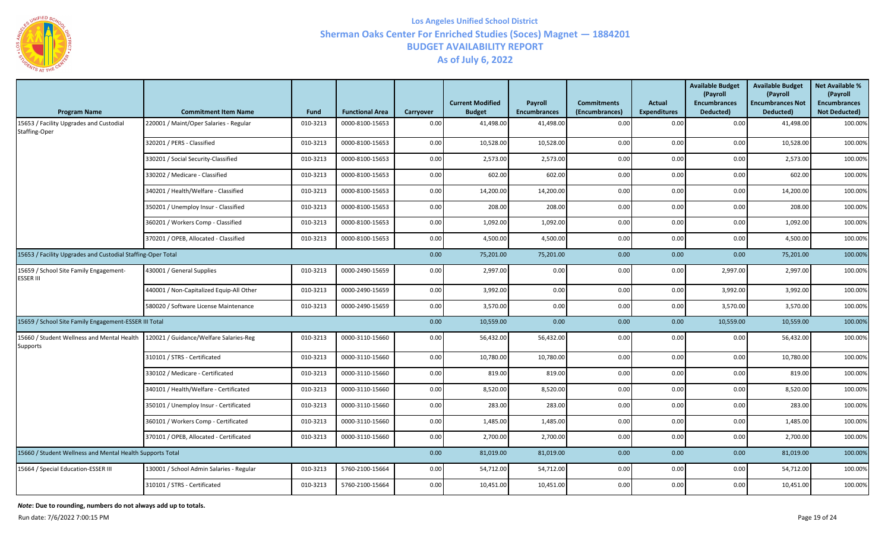

| <b>Program Name</b>                                         | <b>Commitment Item Name</b>              | Fund     | <b>Functional Area</b> | Carryover | <b>Current Modified</b><br><b>Budget</b> | Payroll<br><b>Encumbrances</b> | <b>Commitments</b><br>(Encumbrances) | <b>Actual</b><br><b>Expenditures</b> | <b>Available Budget</b><br>(Payroll<br><b>Encumbrances</b><br>Deducted) | <b>Available Budget</b><br>(Payroll<br><b>Encumbrances Not</b><br>Deducted) | <b>Net Available %</b><br>(Payroll<br><b>Encumbrances</b><br><b>Not Deducted)</b> |
|-------------------------------------------------------------|------------------------------------------|----------|------------------------|-----------|------------------------------------------|--------------------------------|--------------------------------------|--------------------------------------|-------------------------------------------------------------------------|-----------------------------------------------------------------------------|-----------------------------------------------------------------------------------|
| 15653 / Facility Upgrades and Custodial<br>Staffing-Oper    | 220001 / Maint/Oper Salaries - Regular   | 010-3213 | 0000-8100-15653        | 0.00      | 41,498.00                                | 41,498.00                      | 0.00                                 | 0.00                                 | 0.00                                                                    | 41,498.00                                                                   | 100.00%                                                                           |
|                                                             | 320201 / PERS - Classified               | 010-3213 | 0000-8100-15653        | 0.00      | 10,528.00                                | 10,528.00                      | 0.00                                 | 0.00                                 | 0.00                                                                    | 10,528.00                                                                   | 100.00%                                                                           |
|                                                             | 330201 / Social Security-Classified      | 010-3213 | 0000-8100-15653        | 0.00      | 2,573.00                                 | 2,573.00                       | 0.00                                 | 0.00                                 | 0.00                                                                    | 2,573.00                                                                    | 100.00%                                                                           |
|                                                             | 330202 / Medicare - Classified           | 010-3213 | 0000-8100-15653        | 0.00      | 602.00                                   | 602.00                         | 0.00                                 | 0.00                                 | 0.00                                                                    | 602.00                                                                      | 100.00%                                                                           |
|                                                             | 340201 / Health/Welfare - Classified     | 010-3213 | 0000-8100-15653        | 0.00      | 14,200.00                                | 14,200.00                      | 0.00                                 | 0.00                                 | 0.00                                                                    | 14,200.00                                                                   | 100.00%                                                                           |
|                                                             | 350201 / Unemploy Insur - Classified     | 010-3213 | 0000-8100-15653        | 0.00      | 208.00                                   | 208.00                         | 0.00                                 | 0.00                                 | 0.00                                                                    | 208.00                                                                      | 100.00%                                                                           |
|                                                             | 360201 / Workers Comp - Classified       | 010-3213 | 0000-8100-15653        | 0.00      | 1,092.00                                 | 1,092.00                       | 0.00                                 | 0.00                                 | 0.00                                                                    | 1,092.00                                                                    | 100.00%                                                                           |
|                                                             | 370201 / OPEB, Allocated - Classified    | 010-3213 | 0000-8100-15653        | 0.00      | 4,500.00                                 | 4,500.00                       | 0.00                                 | 0.00                                 | 0.00                                                                    | 4,500.00                                                                    | 100.00%                                                                           |
| 15653 / Facility Upgrades and Custodial Staffing-Oper Total |                                          |          |                        | 0.00      | 75,201.00                                | 75,201.00                      | 0.00                                 | 0.00                                 | 0.00                                                                    | 75,201.00                                                                   | 100.00%                                                                           |
| 15659 / School Site Family Engagement-<br><b>ESSER III</b>  | 430001 / General Supplies                | 010-3213 | 0000-2490-15659        | 0.00      | 2,997.00                                 | 0.00                           | 0.00                                 | 0.00                                 | 2,997.00                                                                | 2,997.00                                                                    | 100.00%                                                                           |
|                                                             | 440001 / Non-Capitalized Equip-All Other | 010-3213 | 0000-2490-15659        | 0.00      | 3,992.00                                 | 0.00                           | 0.00                                 | 0.00                                 | 3,992.00                                                                | 3,992.00                                                                    | 100.00%                                                                           |
|                                                             | 580020 / Software License Maintenance    | 010-3213 | 0000-2490-15659        | 0.00      | 3,570.00                                 | 0.00                           | 0.00                                 | 0.00                                 | 3,570.00                                                                | 3,570.00                                                                    | 100.00%                                                                           |
| 15659 / School Site Family Engagement-ESSER III Total       |                                          |          |                        | 0.00      | 10,559.00                                | 0.00                           | 0.00                                 | 0.00                                 | 10,559.00                                                               | 10,559.00                                                                   | 100.00%                                                                           |
| 15660 / Student Wellness and Mental Health<br>Supports      | 120021 / Guidance/Welfare Salaries-Reg   | 010-3213 | 0000-3110-15660        | 0.00      | 56,432.00                                | 56,432.00                      | 0.00                                 | 0.00                                 | 0.00                                                                    | 56,432.00                                                                   | 100.00%                                                                           |
|                                                             | 310101 / STRS - Certificated             | 010-3213 | 0000-3110-15660        | 0.00      | 10,780.00                                | 10,780.00                      | 0.00                                 | 0.00                                 | 0.00                                                                    | 10,780.00                                                                   | 100.00%                                                                           |
|                                                             | 330102 / Medicare - Certificated         | 010-3213 | 0000-3110-15660        | 0.00      | 819.00                                   | 819.00                         | 0.00                                 | 0.00                                 | 0.00                                                                    | 819.00                                                                      | 100.00%                                                                           |
|                                                             | 340101 / Health/Welfare - Certificated   | 010-3213 | 0000-3110-15660        | 0.00      | 8,520.00                                 | 8,520.00                       | 0.00                                 | 0.00                                 | 0.00                                                                    | 8,520.00                                                                    | 100.00%                                                                           |
|                                                             | 350101 / Unemploy Insur - Certificated   | 010-3213 | 0000-3110-15660        | 0.00      | 283.00                                   | 283.00                         | 0.00                                 | 0.00                                 | 0.00                                                                    | 283.00                                                                      | 100.00%                                                                           |
|                                                             | 360101 / Workers Comp - Certificated     | 010-3213 | 0000-3110-15660        | 0.00      | 1,485.00                                 | 1,485.00                       | 0.00                                 | 0.00                                 | 0.00                                                                    | 1,485.00                                                                    | 100.00%                                                                           |
|                                                             | 370101 / OPEB, Allocated - Certificated  | 010-3213 | 0000-3110-15660        | 0.00      | 2,700.00                                 | 2,700.00                       | 0.00                                 | 0.00                                 | 0.00                                                                    | 2,700.00                                                                    | 100.00%                                                                           |
| 15660 / Student Wellness and Mental Health Supports Total   |                                          |          |                        | 0.00      | 81,019.00                                | 81,019.00                      | 0.00                                 | 0.00                                 | 0.00                                                                    | 81,019.00                                                                   | 100.00%                                                                           |
| 15664 / Special Education-ESSER III                         | 130001 / School Admin Salaries - Regular | 010-3213 | 5760-2100-15664        | 0.00      | 54,712.00                                | 54,712.00                      | 0.00                                 | 0.00                                 | 0.00                                                                    | 54,712.00                                                                   | 100.00%                                                                           |
|                                                             | 310101 / STRS - Certificated             | 010-3213 | 5760-2100-15664        | 0.00      | 10,451.00                                | 10,451.00                      | 0.00                                 | 0.00                                 | 0.00                                                                    | 10,451.00                                                                   | 100.00%                                                                           |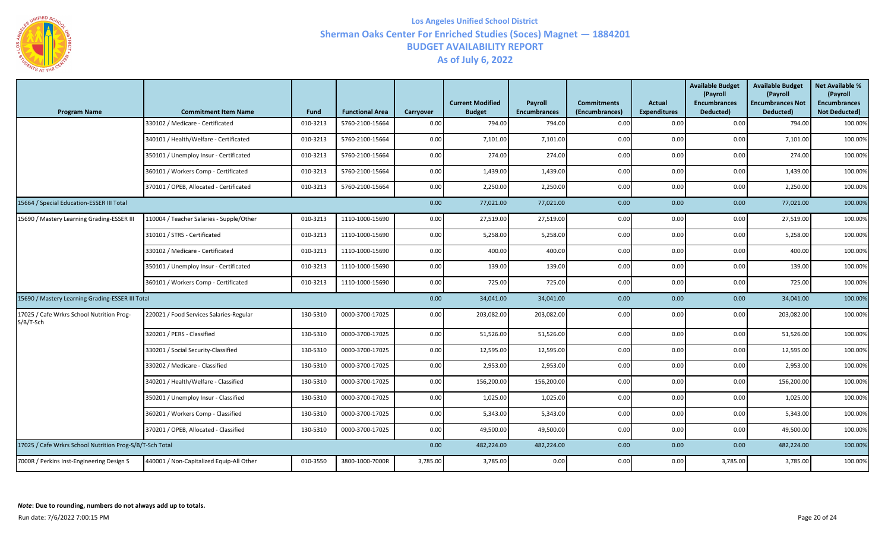

| <b>Program Name</b>                                      | <b>Commitment Item Name</b>              | <b>Fund</b> | <b>Functional Area</b> | Carryover | <b>Current Modified</b><br><b>Budget</b> | Payroll<br><b>Encumbrances</b> | <b>Commitments</b><br>(Encumbrances) | Actual<br><b>Expenditures</b> | <b>Available Budget</b><br>(Payroll<br><b>Encumbrances</b><br>Deducted) | <b>Available Budget</b><br>(Payroll<br><b>Encumbrances Not</b><br>Deducted) | <b>Net Available %</b><br>(Payroll<br><b>Encumbrances</b><br><b>Not Deducted)</b> |
|----------------------------------------------------------|------------------------------------------|-------------|------------------------|-----------|------------------------------------------|--------------------------------|--------------------------------------|-------------------------------|-------------------------------------------------------------------------|-----------------------------------------------------------------------------|-----------------------------------------------------------------------------------|
|                                                          | 330102 / Medicare - Certificated         | 010-3213    | 5760-2100-15664        | 0.00      | 794.00                                   | 794.00                         | 0.00                                 | 0.00                          | 0.00                                                                    | 794.00                                                                      | 100.00%                                                                           |
|                                                          | 340101 / Health/Welfare - Certificated   | 010-3213    | 5760-2100-15664        | 0.00      | 7,101.00                                 | 7,101.00                       | 0.00                                 | 0.00                          | 0.00                                                                    | 7,101.00                                                                    | 100.00%                                                                           |
|                                                          | 350101 / Unemploy Insur - Certificated   | 010-3213    | 5760-2100-15664        | 0.00      | 274.00                                   | 274.00                         | 0.00                                 | 0.00                          | 0.00                                                                    | 274.00                                                                      | 100.00%                                                                           |
|                                                          | 360101 / Workers Comp - Certificated     | 010-3213    | 5760-2100-15664        | 0.00      | 1,439.00                                 | 1,439.00                       | 0.00                                 | 0.00                          | 0.00                                                                    | 1,439.00                                                                    | 100.00%                                                                           |
|                                                          | 370101 / OPEB, Allocated - Certificated  | 010-3213    | 5760-2100-15664        | 0.00      | 2,250.00                                 | 2,250.00                       | 0.00                                 | 0.00                          | 0.00                                                                    | 2,250.00                                                                    | 100.00%                                                                           |
| 15664 / Special Education-ESSER III Total                |                                          |             |                        | 0.00      | 77,021.00                                | 77,021.00                      | 0.00                                 | 0.00                          | 0.00                                                                    | 77,021.00                                                                   | 100.00%                                                                           |
| 15690 / Mastery Learning Grading-ESSER III               | 110004 / Teacher Salaries - Supple/Other | 010-3213    | 1110-1000-15690        | 0.00      | 27,519.00                                | 27,519.00                      | 0.00                                 | 0.00                          | 0.00                                                                    | 27,519.00                                                                   | 100.00%                                                                           |
|                                                          | 310101 / STRS - Certificated             | 010-3213    | 1110-1000-15690        | 0.00      | 5,258.00                                 | 5,258.00                       | 0.00                                 | 0.00                          | 0.00                                                                    | 5,258.00                                                                    | 100.00%                                                                           |
|                                                          | 330102 / Medicare - Certificated         | 010-3213    | 1110-1000-15690        | 0.00      | 400.00                                   | 400.00                         | 0.00                                 | 0.00                          | 0.00                                                                    | 400.00                                                                      | 100.00%                                                                           |
|                                                          | 350101 / Unemploy Insur - Certificated   | 010-3213    | 1110-1000-15690        | 0.00      | 139.00                                   | 139.00                         | 0.00                                 | 0.00                          | 0.00                                                                    | 139.00                                                                      | 100.00%                                                                           |
|                                                          | 360101 / Workers Comp - Certificated     | 010-3213    | 1110-1000-15690        | 0.00      | 725.00                                   | 725.00                         | 0.00                                 | 0.00                          | 0.00                                                                    | 725.00                                                                      | 100.00%                                                                           |
| 15690 / Mastery Learning Grading-ESSER III Total         |                                          |             |                        | 0.00      | 34,041.00                                | 34,041.00                      | 0.00                                 | 0.00                          | 0.00                                                                    | 34,041.00                                                                   | 100.00%                                                                           |
| 17025 / Cafe Wrkrs School Nutrition Prog-<br>$S/B/T-Sch$ | 220021 / Food Services Salaries-Regular  | 130-5310    | 0000-3700-17025        | 0.00      | 203,082.00                               | 203,082.00                     | 0.00                                 | 0.00                          | 0.00                                                                    | 203,082.00                                                                  | 100.00%                                                                           |
|                                                          | 320201 / PERS - Classified               | 130-5310    | 0000-3700-17025        | 0.00      | 51,526.00                                | 51,526.00                      | 0.00                                 | 0.00                          | 0.00                                                                    | 51,526.00                                                                   | 100.00%                                                                           |
|                                                          | 330201 / Social Security-Classified      | 130-5310    | 0000-3700-17025        | 0.00      | 12,595.00                                | 12,595.00                      | 0.00                                 | 0.00                          | 0.00                                                                    | 12,595.00                                                                   | 100.00%                                                                           |
|                                                          | 330202 / Medicare - Classified           | 130-5310    | 0000-3700-17025        | 0.00      | 2,953.00                                 | 2,953.00                       | 0.00                                 | 0.00                          | 0.00                                                                    | 2,953.00                                                                    | 100.00%                                                                           |
|                                                          | 340201 / Health/Welfare - Classified     | 130-5310    | 0000-3700-17025        | 0.00      | 156,200.00                               | 156,200.00                     | 0.00                                 | 0.00                          | 0.00                                                                    | 156,200.00                                                                  | 100.00%                                                                           |
|                                                          | 350201 / Unemploy Insur - Classified     | 130-5310    | 0000-3700-17025        | 0.00      | 1,025.00                                 | 1,025.00                       | 0.00                                 | 0.00                          | 0.00                                                                    | 1,025.00                                                                    | 100.00%                                                                           |
|                                                          | 360201 / Workers Comp - Classified       | 130-5310    | 0000-3700-17025        | 0.00      | 5,343.00                                 | 5,343.00                       | 0.00                                 | 0.00                          | 0.00                                                                    | 5,343.00                                                                    | 100.00%                                                                           |
|                                                          | 370201 / OPEB, Allocated - Classified    | 130-5310    | 0000-3700-17025        | 0.00      | 49,500.00                                | 49,500.00                      | 0.00                                 | 0.00                          | 0.00                                                                    | 49,500.00                                                                   | 100.00%                                                                           |
| 17025 / Cafe Wrkrs School Nutrition Prog-S/B/T-Sch Total |                                          |             |                        | 0.00      | 482,224.00                               | 482,224.00                     | 0.00                                 | 0.00                          | 0.00                                                                    | 482,224.00                                                                  | 100.00%                                                                           |
| 7000R / Perkins Inst-Engineering Design S                | 440001 / Non-Capitalized Equip-All Other | 010-3550    | 3800-1000-7000R        | 3,785.00  | 3,785.00                                 | 0.00                           | 0.00                                 | 0.00                          | 3,785.00                                                                | 3,785.00                                                                    | 100.00%                                                                           |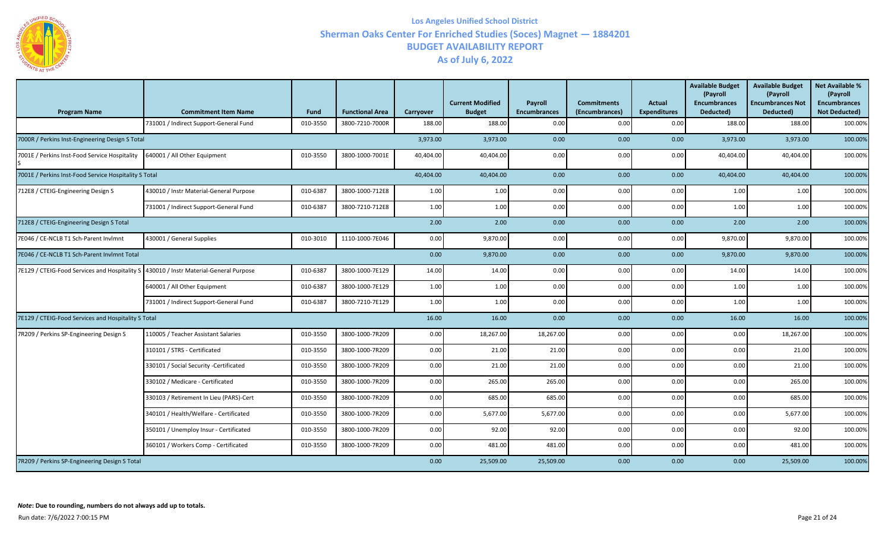

| <b>Program Name</b>                                   | <b>Commitment Item Name</b>             | <b>Fund</b> | <b>Functional Area</b> | Carryover | <b>Current Modified</b><br><b>Budget</b> | Payroll<br><b>Encumbrances</b> | <b>Commitments</b><br>(Encumbrances) | <b>Actual</b><br><b>Expenditures</b> | <b>Available Budget</b><br>(Payroll<br><b>Encumbrances</b><br>Deducted) | <b>Available Budget</b><br>(Payroll<br><b>Encumbrances Not</b><br>Deducted) | <b>Net Available %</b><br>(Payroll<br><b>Encumbrances</b><br><b>Not Deducted)</b> |
|-------------------------------------------------------|-----------------------------------------|-------------|------------------------|-----------|------------------------------------------|--------------------------------|--------------------------------------|--------------------------------------|-------------------------------------------------------------------------|-----------------------------------------------------------------------------|-----------------------------------------------------------------------------------|
|                                                       | 731001 / Indirect Support-General Fund  | 010-3550    | 3800-7210-7000R        | 188.00    | 188.00                                   | 0.00                           | 0.00                                 | 0.00                                 | 188.00                                                                  | 188.00                                                                      | 100.00%                                                                           |
| 7000R / Perkins Inst-Engineering Design S Total       |                                         |             |                        | 3,973.00  | 3,973.00                                 | 0.00                           | 0.00                                 | 0.00                                 | 3,973.00                                                                | 3,973.00                                                                    | 100.00%                                                                           |
| 7001E / Perkins Inst-Food Service Hospitality         | 640001 / All Other Equipment            | 010-3550    | 3800-1000-7001E        | 40,404.00 | 40,404.00                                | 0.00                           | 0.00                                 | 0.00                                 | 40,404.00                                                               | 40,404.00                                                                   | 100.00%                                                                           |
| 7001E / Perkins Inst-Food Service Hospitality S Total |                                         |             |                        | 40,404.00 | 40,404.00                                | 0.00                           | 0.00                                 | 0.00                                 | 40,404.00                                                               | 40,404.00                                                                   | 100.00%                                                                           |
| 712E8 / CTEIG-Engineering Design S                    | 430010 / Instr Material-General Purpose | 010-6387    | 3800-1000-712E8        | 1.00      | 1.00                                     | 0.00                           | 0.00                                 | 0.00                                 | 1.00                                                                    | 1.00                                                                        | 100.00%                                                                           |
|                                                       | 731001 / Indirect Support-General Fund  | 010-6387    | 3800-7210-712E8        | 1.00      | 1.00                                     | 0.00                           | 0.00                                 | 0.00                                 | 1.00                                                                    | 1.00                                                                        | 100.00%                                                                           |
| 712E8 / CTEIG-Engineering Design S Total              |                                         |             |                        | 2.00      | 2.00                                     | 0.00                           | 0.00                                 | 0.00                                 | 2.00                                                                    | 2.00                                                                        | 100.00%                                                                           |
| 7E046 / CE-NCLB T1 Sch-Parent Invlmnt                 | 430001 / General Supplies               | 010-3010    | 1110-1000-7E046        | 0.00      | 9,870.00                                 | 0.00                           | 0.00                                 | 0.00                                 | 9,870.00                                                                | 9,870.00                                                                    | 100.00%                                                                           |
| 7E046 / CE-NCLB T1 Sch-Parent Invlmnt Total           |                                         |             |                        | 0.00      | 9,870.00                                 | 0.00                           | 0.00                                 | 0.00                                 | 9,870.00                                                                | 9,870.00                                                                    | 100.00%                                                                           |
| 7E129 / CTEIG-Food Services and Hospitality S         | 430010 / Instr Material-General Purpose | 010-6387    | 3800-1000-7E129        | 14.00     | 14.00                                    | 0.00                           | 0.00                                 | 0.00                                 | 14.00                                                                   | 14.00                                                                       | 100.00%                                                                           |
|                                                       | 640001 / All Other Equipment            | 010-6387    | 3800-1000-7E129        | 1.00      | 1.00                                     | 0.00                           | 0.00                                 | 0.00                                 | 1.00                                                                    | 1.00                                                                        | 100.00%                                                                           |
|                                                       | 731001 / Indirect Support-General Fund  | 010-6387    | 3800-7210-7E129        | 1.00      | 1.00                                     | 0.00                           | 0.00                                 | 0.00                                 | 1.00                                                                    | 1.00                                                                        | 100.00%                                                                           |
| 7E129 / CTEIG-Food Services and Hospitality S Total   |                                         |             |                        | 16.00     | 16.00                                    | 0.00                           | 0.00                                 | 0.00                                 | 16.00                                                                   | 16.00                                                                       | 100.00%                                                                           |
| 7R209 / Perkins SP-Engineering Design S               | 110005 / Teacher Assistant Salaries     | 010-3550    | 3800-1000-7R209        | 0.00      | 18,267.00                                | 18,267.00                      | 0.00                                 | 0.00                                 | 0.00                                                                    | 18,267.00                                                                   | 100.00%                                                                           |
|                                                       | 310101 / STRS - Certificated            | 010-3550    | 3800-1000-7R209        | 0.00      | 21.00                                    | 21.00                          | 0.00                                 | 0.00                                 | 0.00                                                                    | 21.00                                                                       | 100.00%                                                                           |
|                                                       | 330101 / Social Security -Certificated  | 010-3550    | 3800-1000-7R209        | 0.00      | 21.00                                    | 21.00                          | 0.00                                 | 0.00                                 | 0.00                                                                    | 21.00                                                                       | 100.00%                                                                           |
|                                                       | 330102 / Medicare - Certificated        | 010-3550    | 3800-1000-7R209        | 0.00      | 265.00                                   | 265.00                         | 0.00                                 | 0.00                                 | 0.00                                                                    | 265.00                                                                      | 100.00%                                                                           |
|                                                       | 330103 / Retirement In Lieu (PARS)-Cert | 010-3550    | 3800-1000-7R209        | 0.00      | 685.00                                   | 685.00                         | 0.00                                 | 0.00                                 | 0.00                                                                    | 685.00                                                                      | 100.00%                                                                           |
|                                                       | 340101 / Health/Welfare - Certificated  | 010-3550    | 3800-1000-7R209        | 0.00      | 5,677.00                                 | 5,677.00                       | 0.00                                 | 0.00                                 | 0.00                                                                    | 5,677.00                                                                    | 100.00%                                                                           |
|                                                       | 350101 / Unemploy Insur - Certificated  | 010-3550    | 3800-1000-7R209        | 0.00      | 92.00                                    | 92.00                          | 0.00                                 | 0.00                                 | 0.00                                                                    | 92.00                                                                       | 100.00%                                                                           |
|                                                       | 360101 / Workers Comp - Certificated    | 010-3550    | 3800-1000-7R209        | 0.00      | 481.00                                   | 481.00                         | 0.00                                 | 0.00                                 | 0.00                                                                    | 481.00                                                                      | 100.00%                                                                           |
| 7R209 / Perkins SP-Engineering Design S Total         |                                         |             |                        | 0.00      | 25,509.00                                | 25,509.00                      | 0.00                                 | 0.00                                 | 0.00                                                                    | 25,509.00                                                                   | 100.00%                                                                           |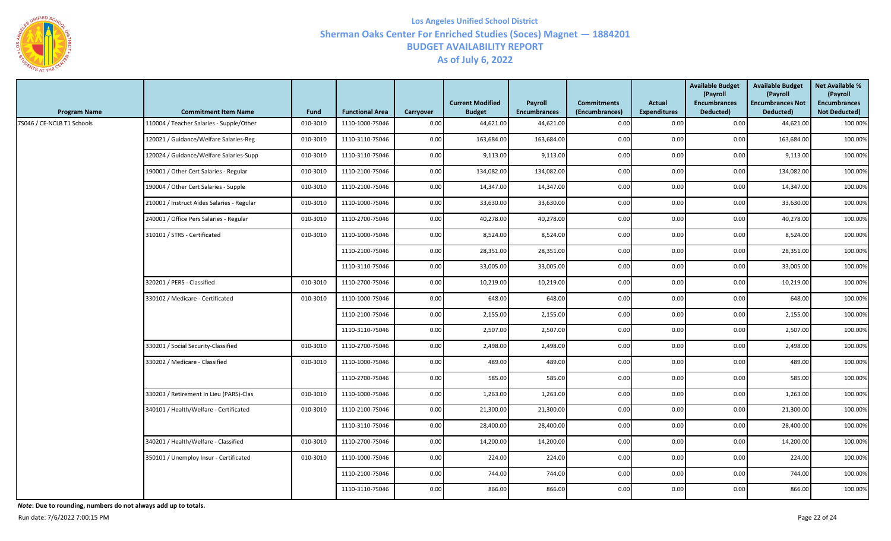

| <b>Program Name</b>        | <b>Commitment Item Name</b>                | <b>Fund</b> | <b>Functional Area</b> | Carryover | <b>Current Modified</b><br><b>Budget</b> | Payroll<br><b>Encumbrances</b> | <b>Commitments</b><br>(Encumbrances) | Actual<br><b>Expenditures</b> | <b>Available Budget</b><br>(Payroll<br><b>Encumbrances</b><br>Deducted) | <b>Available Budget</b><br>(Payroll<br><b>Encumbrances Not</b><br>Deducted) | <b>Net Available %</b><br>(Payroll<br><b>Encumbrances</b><br><b>Not Deducted)</b> |
|----------------------------|--------------------------------------------|-------------|------------------------|-----------|------------------------------------------|--------------------------------|--------------------------------------|-------------------------------|-------------------------------------------------------------------------|-----------------------------------------------------------------------------|-----------------------------------------------------------------------------------|
| 7S046 / CE-NCLB T1 Schools | 110004 / Teacher Salaries - Supple/Other   | 010-3010    | 1110-1000-7S046        | 0.00      | 44,621.00                                | 44,621.00                      | 0.00                                 | 0.00                          | 0.00                                                                    | 44,621.00                                                                   | 100.00%                                                                           |
|                            | 120021 / Guidance/Welfare Salaries-Reg     | 010-3010    | 1110-3110-7S046        | 0.00      | 163,684.00                               | 163,684.00                     | 0.00                                 | 0.00                          | 0.00                                                                    | 163,684.00                                                                  | 100.00%                                                                           |
|                            | 120024 / Guidance/Welfare Salaries-Supp    | 010-3010    | 1110-3110-75046        | 0.00      | 9,113.00                                 | 9,113.00                       | 0.00                                 | 0.00                          | 0.00                                                                    | 9,113.00                                                                    | 100.00%                                                                           |
|                            | 190001 / Other Cert Salaries - Regular     | 010-3010    | 1110-2100-7S046        | 0.00      | 134,082.00                               | 134,082.00                     | 0.00                                 | 0.00                          | 0.00                                                                    | 134,082.00                                                                  | 100.00%                                                                           |
|                            | 190004 / Other Cert Salaries - Supple      | 010-3010    | 1110-2100-75046        | 0.00      | 14,347.00                                | 14,347.00                      | 0.00                                 | 0.00                          | 0.00                                                                    | 14,347.00                                                                   | 100.00%                                                                           |
|                            | 210001 / Instruct Aides Salaries - Regular | 010-3010    | 1110-1000-7S046        | 0.00      | 33,630.00                                | 33,630.00                      | 0.00                                 | 0.00                          | 0.00                                                                    | 33,630.00                                                                   | 100.00%                                                                           |
|                            | 240001 / Office Pers Salaries - Regular    | 010-3010    | 1110-2700-7S046        | 0.00      | 40,278.00                                | 40,278.00                      | 0.00                                 | 0.00                          | 0.00                                                                    | 40,278.00                                                                   | 100.00%                                                                           |
|                            | 310101 / STRS - Certificated               | 010-3010    | 1110-1000-75046        | 0.00      | 8,524.00                                 | 8,524.00                       | 0.00                                 | 0.00                          | 0.00                                                                    | 8,524.00                                                                    | 100.00%                                                                           |
|                            |                                            |             | 1110-2100-75046        | 0.00      | 28,351.00                                | 28,351.00                      | 0.00                                 | 0.00                          | 0.00                                                                    | 28,351.00                                                                   | 100.00%                                                                           |
|                            |                                            |             | 1110-3110-75046        | 0.00      | 33,005.00                                | 33,005.00                      | 0.00                                 | 0.00                          | 0.00                                                                    | 33,005.00                                                                   | 100.00%                                                                           |
|                            | 320201 / PERS - Classified                 | 010-3010    | 1110-2700-7S046        | 0.00      | 10,219.00                                | 10,219.00                      | 0.00                                 | 0.00                          | 0.00                                                                    | 10,219.00                                                                   | 100.00%                                                                           |
|                            | 330102 / Medicare - Certificated           | 010-3010    | 1110-1000-7S046        | 0.00      | 648.00                                   | 648.00                         | 0.00                                 | 0.00                          | 0.00                                                                    | 648.00                                                                      | 100.00%                                                                           |
|                            |                                            |             | 1110-2100-75046        | 0.00      | 2,155.00                                 | 2,155.00                       | 0.00                                 | 0.00                          | 0.00                                                                    | 2,155.00                                                                    | 100.00%                                                                           |
|                            |                                            |             | 1110-3110-7S046        | 0.00      | 2,507.00                                 | 2,507.00                       | 0.00                                 | 0.00                          | 0.00                                                                    | 2,507.00                                                                    | 100.00%                                                                           |
|                            | 330201 / Social Security-Classified        | 010-3010    | 1110-2700-7S046        | 0.00      | 2,498.00                                 | 2,498.00                       | 0.00                                 | 0.00                          | 0.00                                                                    | 2,498.00                                                                    | 100.00%                                                                           |
|                            | 330202 / Medicare - Classified             | 010-3010    | 1110-1000-7S046        | 0.00      | 489.00                                   | 489.00                         | 0.00                                 | 0.00                          | 0.00                                                                    | 489.00                                                                      | 100.00%                                                                           |
|                            |                                            |             | 1110-2700-75046        | 0.00      | 585.00                                   | 585.00                         | 0.00                                 | 0.00                          | 0.00                                                                    | 585.00                                                                      | 100.00%                                                                           |
|                            | 330203 / Retirement In Lieu (PARS)-Clas    | 010-3010    | 1110-1000-75046        | 0.00      | 1,263.00                                 | 1,263.00                       | 0.00                                 | 0.00                          | 0.00                                                                    | 1,263.00                                                                    | 100.00%                                                                           |
|                            | 340101 / Health/Welfare - Certificated     | 010-3010    | 1110-2100-7S046        | 0.00      | 21,300.00                                | 21,300.00                      | 0.00                                 | 0.00                          | 0.00                                                                    | 21,300.00                                                                   | 100.00%                                                                           |
|                            |                                            |             | 1110-3110-75046        | 0.00      | 28,400.00                                | 28,400.00                      | 0.00                                 | 0.00                          | 0.00                                                                    | 28,400.00                                                                   | 100.00%                                                                           |
|                            | 340201 / Health/Welfare - Classified       | 010-3010    | 1110-2700-75046        | 0.00      | 14,200.00                                | 14,200.00                      | 0.00                                 | 0.00                          | 0.00                                                                    | 14,200.00                                                                   | 100.00%                                                                           |
|                            | 350101 / Unemploy Insur - Certificated     | 010-3010    | 1110-1000-75046        | 0.00      | 224.00                                   | 224.00                         | 0.00                                 | 0.00                          | 0.00                                                                    | 224.00                                                                      | 100.00%                                                                           |
|                            |                                            |             | 1110-2100-7S046        | 0.00      | 744.00                                   | 744.00                         | 0.00                                 | 0.00                          | 0.00                                                                    | 744.00                                                                      | 100.00%                                                                           |
|                            |                                            |             | 1110-3110-7S046        | 0.00      | 866.00                                   | 866.00                         | 0.00                                 | 0.00                          | 0.00                                                                    | 866.00                                                                      | 100.00%                                                                           |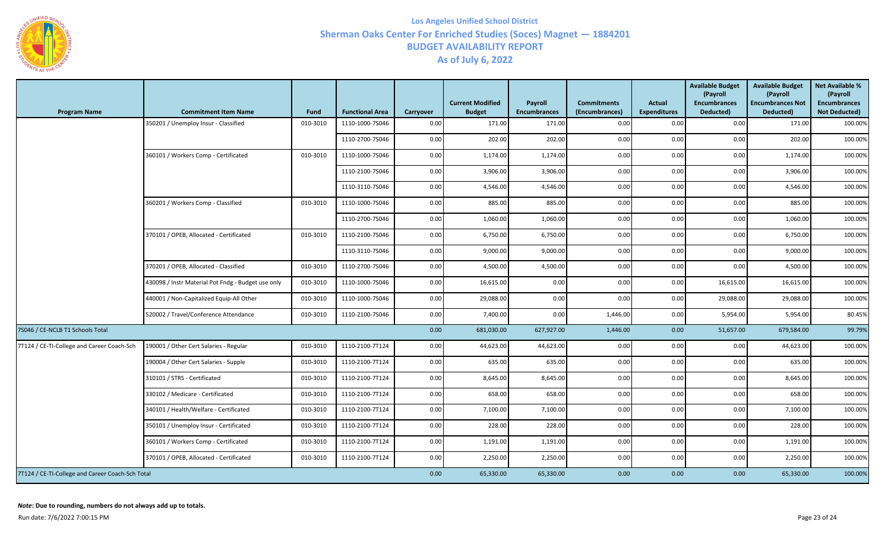

| <b>Program Name</b>                              | <b>Commitment Item Name</b>                        | Fund     | <b>Functional Area</b> | Carryover | <b>Current Modified</b><br><b>Budget</b> | Payroll<br><b>Encumbrances</b> | <b>Commitments</b><br>(Encumbrances) | <b>Actual</b><br><b>Expenditures</b> | <b>Available Budget</b><br>(Payroll<br><b>Encumbrances</b><br>Deducted) | <b>Available Budget</b><br>(Payroll<br><b>Encumbrances Not</b><br>Deducted) | <b>Net Available %</b><br>(Payroll<br><b>Encumbrances</b><br><b>Not Deducted)</b> |
|--------------------------------------------------|----------------------------------------------------|----------|------------------------|-----------|------------------------------------------|--------------------------------|--------------------------------------|--------------------------------------|-------------------------------------------------------------------------|-----------------------------------------------------------------------------|-----------------------------------------------------------------------------------|
|                                                  | 350201 / Unemploy Insur - Classified               | 010-3010 | 1110-1000-7S046        | 0.00      | 171.00                                   | 171.00                         | 0.00                                 | 0.00                                 | 0.00                                                                    | 171.00                                                                      | 100.00%                                                                           |
|                                                  |                                                    |          | 1110-2700-7S046        | 0.00      | 202.00                                   | 202.00                         | 0.00                                 | 0.00                                 | 0.00                                                                    | 202.00                                                                      | 100.00%                                                                           |
|                                                  | 360101 / Workers Comp - Certificated               | 010-3010 | 1110-1000-7S046        | 0.00      | 1,174.00                                 | 1,174.00                       | 0.00                                 | 0.00                                 | 0.00                                                                    | 1,174.00                                                                    | 100.00%                                                                           |
|                                                  |                                                    |          | 1110-2100-7S046        | 0.00      | 3,906.00                                 | 3,906.00                       | $0.00\,$                             | 0.00                                 | 0.00                                                                    | 3,906.00                                                                    | 100.00%                                                                           |
|                                                  |                                                    |          | 1110-3110-7S046        | 0.00      | 4,546.00                                 | 4,546.00                       | 0.00                                 | 0.00                                 | 0.00                                                                    | 4,546.00                                                                    | 100.00%                                                                           |
|                                                  | 360201 / Workers Comp - Classified                 | 010-3010 | 1110-1000-7S046        | 0.00      | 885.00                                   | 885.00                         | 0.00                                 | 0.00                                 | 0.00                                                                    | 885.00                                                                      | 100.00%                                                                           |
|                                                  |                                                    |          | 1110-2700-7S046        | 0.00      | 1,060.00                                 | 1,060.00                       | 0.00                                 | 0.00                                 | 0.00                                                                    | 1,060.00                                                                    | 100.00%                                                                           |
|                                                  | 370101 / OPEB, Allocated - Certificated            | 010-3010 | 1110-2100-7S046        | 0.00      | 6,750.00                                 | 6,750.00                       | 0.00                                 | 0.00                                 | 0.00                                                                    | 6,750.00                                                                    | 100.00%                                                                           |
|                                                  |                                                    |          | 1110-3110-7S046        | 0.00      | 9,000.00                                 | 9,000.00                       | 0.00                                 | 0.00                                 | 0.00                                                                    | 9,000.00                                                                    | 100.00%                                                                           |
|                                                  | 370201 / OPEB, Allocated - Classified              | 010-3010 | 1110-2700-7S046        | 0.00      | 4,500.00                                 | 4,500.00                       | 0.00                                 | 0.00                                 | 0.00                                                                    | 4,500.00                                                                    | 100.00%                                                                           |
|                                                  | 430098 / Instr Material Pot Fndg - Budget use only | 010-3010 | 1110-1000-7S046        | 0.00      | 16,615.00                                | 0.00                           | 0.00                                 | 0.00                                 | 16,615.00                                                               | 16,615.00                                                                   | 100.00%                                                                           |
|                                                  | 440001 / Non-Capitalized Equip-All Other           | 010-3010 | 1110-1000-7S046        | 0.00      | 29,088.00                                | 0.00                           | 0.00                                 | 0.00                                 | 29,088.00                                                               | 29,088.00                                                                   | 100.00%                                                                           |
|                                                  | 520002 / Travel/Conference Attendance              | 010-3010 | 1110-2100-7S046        | 0.00      | 7,400.00                                 | 0.00                           | 1,446.00                             | 0.00                                 | 5,954.00                                                                | 5,954.00                                                                    | 80.45%                                                                            |
| 7S046 / CE-NCLB T1 Schools Total                 |                                                    |          |                        | 0.00      | 681,030.00                               | 627,927.00                     | 1,446.00                             | 0.00                                 | 51,657.00                                                               | 679,584.00                                                                  | 99.79%                                                                            |
| 7T124 / CE-TI-College and Career Coach-Sch       | 190001 / Other Cert Salaries - Regular             | 010-3010 | 1110-2100-7T124        | 0.00      | 44,623.00                                | 44,623.00                      | 0.00                                 | 0.00                                 | 0.00                                                                    | 44,623.00                                                                   | 100.00%                                                                           |
|                                                  | 190004 / Other Cert Salaries - Supple              | 010-3010 | 1110-2100-7T124        | 0.00      | 635.00                                   | 635.00                         | 0.00                                 | 0.00                                 | 0.00                                                                    | 635.00                                                                      | 100.00%                                                                           |
|                                                  | 310101 / STRS - Certificated                       | 010-3010 | 1110-2100-7T124        | 0.00      | 8,645.00                                 | 8,645.00                       | 0.00                                 | 0.00                                 | 0.00                                                                    | 8,645.00                                                                    | 100.00%                                                                           |
|                                                  | 330102 / Medicare - Certificated                   | 010-3010 | 1110-2100-7T124        | 0.00      | 658.00                                   | 658.00                         | 0.00                                 | 0.00                                 | 0.00                                                                    | 658.00                                                                      | 100.00%                                                                           |
|                                                  | 340101 / Health/Welfare - Certificated             | 010-3010 | 1110-2100-7T124        | 0.00      | 7,100.00                                 | 7,100.00                       | 0.00                                 | 0.00                                 | 0.00                                                                    | 7,100.00                                                                    | 100.00%                                                                           |
|                                                  | 350101 / Unemploy Insur - Certificated             | 010-3010 | 1110-2100-7T124        | 0.00      | 228.00                                   | 228.00                         | 0.00                                 | 0.00                                 | 0.00                                                                    | 228.00                                                                      | 100.00%                                                                           |
|                                                  | 360101 / Workers Comp - Certificated               | 010-3010 | 1110-2100-7T124        | 0.00      | 1,191.00                                 | 1,191.00                       | 0.00                                 | 0.00                                 | 0.00                                                                    | 1,191.00                                                                    | 100.00%                                                                           |
|                                                  | 370101 / OPEB, Allocated - Certificated            | 010-3010 | 1110-2100-7T124        | 0.00      | 2,250.00                                 | 2,250.00                       | 0.00                                 | 0.00                                 | 0.00                                                                    | 2,250.00                                                                    | 100.00%                                                                           |
| 7T124 / CE-TI-College and Career Coach-Sch Total |                                                    |          |                        | 0.00      | 65,330.00                                | 65,330.00                      | 0.00                                 | 0.00                                 | 0.00                                                                    | 65,330.00                                                                   | 100.00%                                                                           |